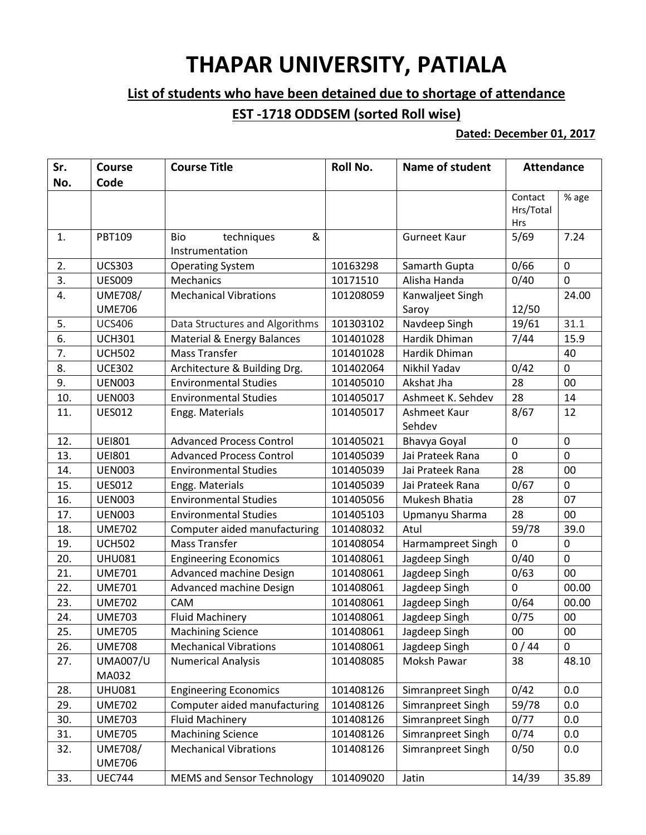## **THAPAR UNIVERSITY, PATIALA**

## **List of students who have been detained due to shortage of attendance**

## **EST -1718 ODDSEM (sorted Roll wise)**

## **Dated: December 01, 2017**

| Sr.<br>No. | <b>Course</b><br>Code           | <b>Course Title</b>                       | Roll No.  | <b>Name of student</b>    | <b>Attendance</b>                  |              |
|------------|---------------------------------|-------------------------------------------|-----------|---------------------------|------------------------------------|--------------|
|            |                                 |                                           |           |                           | Contact<br>Hrs/Total<br><b>Hrs</b> | % age        |
| 1.         | <b>PBT109</b>                   | &<br>Bio<br>techniques<br>Instrumentation |           | <b>Gurneet Kaur</b>       | 5/69                               | 7.24         |
| 2.         | <b>UCS303</b>                   | <b>Operating System</b>                   | 10163298  | Samarth Gupta             | 0/66                               | 0            |
| 3.         | <b>UES009</b>                   | Mechanics                                 | 10171510  | Alisha Handa              | 0/40                               | $\mathbf 0$  |
| 4.         | <b>UME708/</b><br><b>UME706</b> | <b>Mechanical Vibrations</b>              | 101208059 | Kanwaljeet Singh<br>Saroy | 12/50                              | 24.00        |
| 5.         | <b>UCS406</b>                   | Data Structures and Algorithms            | 101303102 | Navdeep Singh             | 19/61                              | 31.1         |
| 6.         | <b>UCH301</b>                   | Material & Energy Balances                | 101401028 | Hardik Dhiman             | 7/44                               | 15.9         |
| 7.         | <b>UCH502</b>                   | <b>Mass Transfer</b>                      | 101401028 | Hardik Dhiman             |                                    | 40           |
| 8.         | <b>UCE302</b>                   | Architecture & Building Drg.              | 101402064 | Nikhil Yadav              | 0/42                               | $\mathbf 0$  |
| 9.         | <b>UEN003</b>                   | <b>Environmental Studies</b>              | 101405010 | Akshat Jha                | 28                                 | 00           |
| 10.        | <b>UEN003</b>                   | <b>Environmental Studies</b>              | 101405017 | Ashmeet K. Sehdev         | 28                                 | 14           |
| 11.        | <b>UES012</b>                   | Engg. Materials                           | 101405017 | Ashmeet Kaur              | 8/67                               | 12           |
|            |                                 |                                           |           | Sehdev                    |                                    |              |
| 12.        | <b>UEI801</b>                   | <b>Advanced Process Control</b>           | 101405021 | Bhavya Goyal              | $\mathbf 0$                        | $\pmb{0}$    |
| 13.        | <b>UEI801</b>                   | <b>Advanced Process Control</b>           | 101405039 | Jai Prateek Rana          | $\mathbf 0$                        | $\mathbf 0$  |
| 14.        | <b>UEN003</b>                   | <b>Environmental Studies</b>              | 101405039 | Jai Prateek Rana          | 28                                 | 00           |
| 15.        | <b>UES012</b>                   | Engg. Materials                           | 101405039 | Jai Prateek Rana          | 0/67                               | $\mathbf 0$  |
| 16.        | <b>UEN003</b>                   | <b>Environmental Studies</b>              | 101405056 | Mukesh Bhatia             | 28                                 | 07           |
| 17.        | <b>UEN003</b>                   | <b>Environmental Studies</b>              | 101405103 | Upmanyu Sharma            | 28                                 | 00           |
| 18.        | <b>UME702</b>                   | Computer aided manufacturing              | 101408032 | Atul                      | 59/78                              | 39.0         |
| 19.        | <b>UCH502</b>                   | <b>Mass Transfer</b>                      | 101408054 | Harmampreet Singh         | $\Omega$                           | $\mathbf 0$  |
| 20.        | <b>UHU081</b>                   | <b>Engineering Economics</b>              | 101408061 | Jagdeep Singh             | 0/40                               | $\mathbf 0$  |
| 21.        | <b>UME701</b>                   | Advanced machine Design                   | 101408061 | Jagdeep Singh             | 0/63                               | 00           |
| 22.        | <b>UME701</b>                   | Advanced machine Design                   | 101408061 | Jagdeep Singh             | $\mathbf 0$                        | 00.00        |
| 23.        | <b>UME702</b>                   | CAM                                       | 101408061 | Jagdeep Singh             | 0/64                               | 00.00        |
| 24.        | <b>UME703</b>                   | <b>Fluid Machinery</b>                    | 101408061 | Jagdeep Singh             | 0/75                               | 00           |
| 25.        | <b>UME705</b>                   | <b>Machining Science</b>                  | 101408061 | Jagdeep Singh             | 00                                 | 00           |
| 26.        | <b>UME708</b>                   | <b>Mechanical Vibrations</b>              | 101408061 | Jagdeep Singh             | 0/44                               | $\mathbf{0}$ |
| 27.        | <b>UMA007/U</b><br>MA032        | <b>Numerical Analysis</b>                 | 101408085 | Moksh Pawar               | 38                                 | 48.10        |
| 28.        | <b>UHU081</b>                   | <b>Engineering Economics</b>              | 101408126 | Simranpreet Singh         | 0/42                               | 0.0          |
| 29.        | <b>UME702</b>                   | Computer aided manufacturing              | 101408126 | Simranpreet Singh         | 59/78                              | 0.0          |
| 30.        | <b>UME703</b>                   | <b>Fluid Machinery</b>                    | 101408126 | Simranpreet Singh         | 0/77                               | 0.0          |
| 31.        | <b>UME705</b>                   | <b>Machining Science</b>                  | 101408126 | Simranpreet Singh         | 0/74                               | 0.0          |
| 32.        | <b>UME708/</b>                  | <b>Mechanical Vibrations</b>              | 101408126 | Simranpreet Singh         | 0/50                               | 0.0          |
|            | <b>UME706</b>                   |                                           |           |                           |                                    |              |
| 33.        | <b>UEC744</b>                   | <b>MEMS and Sensor Technology</b>         | 101409020 | Jatin                     | 14/39                              | 35.89        |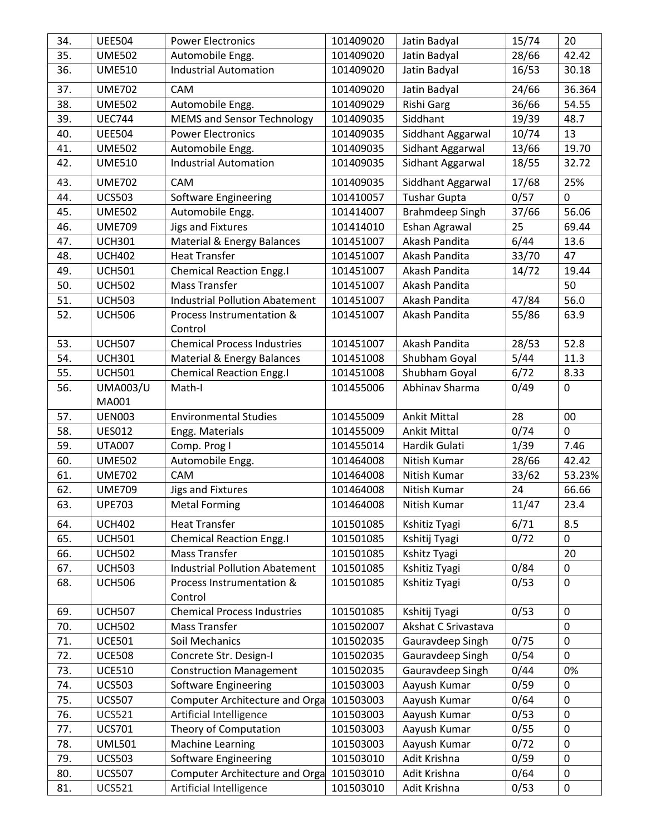| 34. | <b>UEE504</b>            | <b>Power Electronics</b>              | 101409020 | Jatin Badyal           | 15/74 | 20           |
|-----|--------------------------|---------------------------------------|-----------|------------------------|-------|--------------|
| 35. | <b>UME502</b>            | Automobile Engg.                      | 101409020 | Jatin Badyal           | 28/66 | 42.42        |
| 36. | <b>UME510</b>            | <b>Industrial Automation</b>          | 101409020 | Jatin Badyal           | 16/53 | 30.18        |
| 37. | <b>UME702</b>            | CAM                                   | 101409020 | Jatin Badyal           | 24/66 | 36.364       |
| 38. | <b>UME502</b>            | Automobile Engg.                      | 101409029 | Rishi Garg             | 36/66 | 54.55        |
| 39. | <b>UEC744</b>            | <b>MEMS and Sensor Technology</b>     | 101409035 | Siddhant               | 19/39 | 48.7         |
| 40. | <b>UEE504</b>            | <b>Power Electronics</b>              | 101409035 | Siddhant Aggarwal      | 10/74 | 13           |
| 41. | <b>UME502</b>            | Automobile Engg.                      | 101409035 | Sidhant Aggarwal       | 13/66 | 19.70        |
| 42. | <b>UME510</b>            | <b>Industrial Automation</b>          | 101409035 | Sidhant Aggarwal       | 18/55 | 32.72        |
| 43. | <b>UME702</b>            | CAM                                   | 101409035 | Siddhant Aggarwal      | 17/68 | 25%          |
| 44. | <b>UCS503</b>            | Software Engineering                  | 101410057 | <b>Tushar Gupta</b>    | 0/57  | $\mathbf 0$  |
| 45. | <b>UME502</b>            | Automobile Engg.                      | 101414007 | <b>Brahmdeep Singh</b> | 37/66 | 56.06        |
| 46. | <b>UME709</b>            | <b>Jigs and Fixtures</b>              | 101414010 | Eshan Agrawal          | 25    | 69.44        |
| 47. | <b>UCH301</b>            | <b>Material &amp; Energy Balances</b> | 101451007 | Akash Pandita          | 6/44  | 13.6         |
| 48. | <b>UCH402</b>            | <b>Heat Transfer</b>                  | 101451007 | Akash Pandita          | 33/70 | 47           |
| 49. | <b>UCH501</b>            | <b>Chemical Reaction Engg.I</b>       | 101451007 | Akash Pandita          | 14/72 | 19.44        |
| 50. | <b>UCH502</b>            | Mass Transfer                         | 101451007 | Akash Pandita          |       | 50           |
| 51. | <b>UCH503</b>            | <b>Industrial Pollution Abatement</b> | 101451007 | Akash Pandita          | 47/84 | 56.0         |
| 52. | <b>UCH506</b>            | Process Instrumentation &<br>Control  | 101451007 | Akash Pandita          | 55/86 | 63.9         |
| 53. | <b>UCH507</b>            | <b>Chemical Process Industries</b>    | 101451007 | Akash Pandita          | 28/53 | 52.8         |
| 54. | <b>UCH301</b>            | Material & Energy Balances            | 101451008 | Shubham Goyal          | 5/44  | 11.3         |
| 55. | <b>UCH501</b>            | <b>Chemical Reaction Engg.I</b>       | 101451008 | Shubham Goyal          | 6/72  | 8.33         |
| 56. | <b>UMA003/U</b><br>MA001 | Math-I                                | 101455006 | Abhinav Sharma         | 0/49  | $\mathbf 0$  |
| 57. | <b>UEN003</b>            | <b>Environmental Studies</b>          | 101455009 | <b>Ankit Mittal</b>    | 28    | 00           |
| 58. | <b>UES012</b>            | Engg. Materials                       | 101455009 | <b>Ankit Mittal</b>    | 0/74  | $\mathbf 0$  |
| 59. | <b>UTA007</b>            | Comp. Prog I                          | 101455014 | Hardik Gulati          | 1/39  | 7.46         |
| 60. | <b>UME502</b>            | Automobile Engg.                      | 101464008 | Nitish Kumar           | 28/66 | 42.42        |
| 61. | <b>UME702</b>            | CAM                                   | 101464008 | Nitish Kumar           | 33/62 | 53.23%       |
| 62. | <b>UME709</b>            | Jigs and Fixtures                     | 101464008 | Nitish Kumar           | 24    | 66.66        |
| 63. | <b>UPE703</b>            | <b>Metal Forming</b>                  | 101464008 | Nitish Kumar           | 11/47 | 23.4         |
| 64. | <b>UCH402</b>            | <b>Heat Transfer</b>                  | 101501085 | Kshitiz Tyagi          | 6/71  | 8.5          |
| 65. | <b>UCH501</b>            | <b>Chemical Reaction Engg.I</b>       | 101501085 | Kshitij Tyagi          | 0/72  | 0            |
| 66. | <b>UCH502</b>            | Mass Transfer                         | 101501085 | Kshitz Tyagi           |       | 20           |
| 67. | <b>UCH503</b>            | <b>Industrial Pollution Abatement</b> | 101501085 | Kshitiz Tyagi          | 0/84  | $\pmb{0}$    |
| 68. | <b>UCH506</b>            | Process Instrumentation &<br>Control  | 101501085 | Kshitiz Tyagi          | 0/53  | $\mathbf 0$  |
| 69. | <b>UCH507</b>            | <b>Chemical Process Industries</b>    | 101501085 | Kshitij Tyagi          | 0/53  | $\mathbf 0$  |
| 70. | <b>UCH502</b>            | <b>Mass Transfer</b>                  | 101502007 | Akshat C Srivastava    |       | $\mathbf 0$  |
| 71. | <b>UCE501</b>            | Soil Mechanics                        | 101502035 | Gauravdeep Singh       | 0/75  | $\mathbf 0$  |
| 72. | <b>UCE508</b>            | Concrete Str. Design-I                | 101502035 | Gauravdeep Singh       | 0/54  | $\mathbf{0}$ |
| 73. | <b>UCE510</b>            | <b>Construction Management</b>        | 101502035 | Gauravdeep Singh       | 0/44  | 0%           |
| 74. | <b>UCS503</b>            | <b>Software Engineering</b>           | 101503003 | Aayush Kumar           | 0/59  | 0            |
| 75. | <b>UCS507</b>            | Computer Architecture and Orga        | 101503003 | Aayush Kumar           | 0/64  | $\mathbf 0$  |
| 76. | <b>UCS521</b>            | Artificial Intelligence               | 101503003 | Aayush Kumar           | 0/53  | $\mathbf 0$  |
| 77. | <b>UCS701</b>            | Theory of Computation                 | 101503003 | Aayush Kumar           | 0/55  | $\pmb{0}$    |
| 78. | <b>UML501</b>            | <b>Machine Learning</b>               | 101503003 | Aayush Kumar           | 0/72  | $\mathbf 0$  |
| 79. | <b>UCS503</b>            | <b>Software Engineering</b>           | 101503010 | Adit Krishna           | 0/59  | $\mathbf 0$  |
| 80. | <b>UCS507</b>            | Computer Architecture and Orga        | 101503010 | Adit Krishna           | 0/64  | 0            |
| 81. | <b>UCS521</b>            | Artificial Intelligence               | 101503010 | Adit Krishna           | 0/53  | $\pmb{0}$    |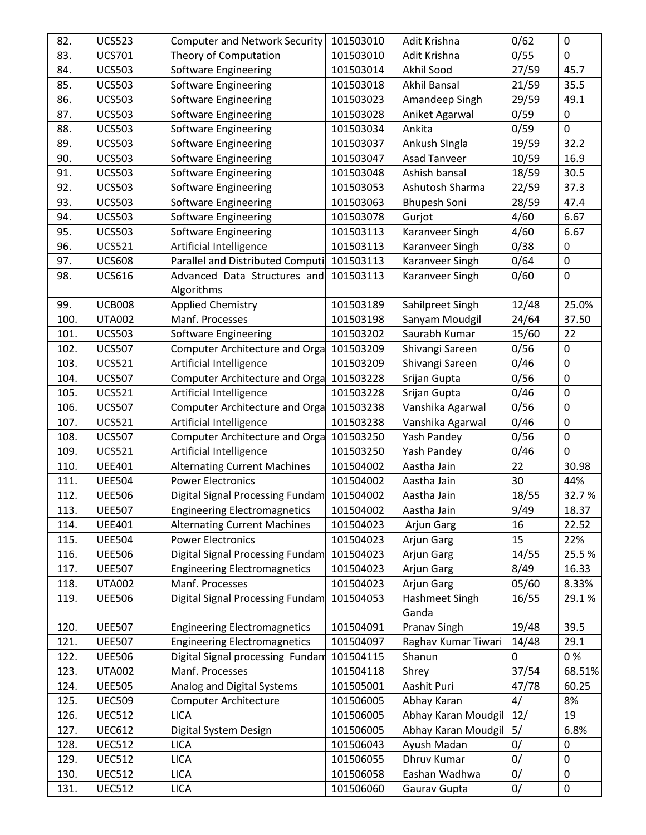| 82.  | <b>UCS523</b> | <b>Computer and Network Security</b>     | 101503010 | Adit Krishna        | 0/62     | $\mathbf 0$  |
|------|---------------|------------------------------------------|-----------|---------------------|----------|--------------|
| 83.  | <b>UCS701</b> | Theory of Computation                    | 101503010 | Adit Krishna        | 0/55     | $\mathbf{0}$ |
| 84.  | <b>UCS503</b> | <b>Software Engineering</b>              | 101503014 | Akhil Sood          | 27/59    | 45.7         |
| 85.  | <b>UCS503</b> | <b>Software Engineering</b>              | 101503018 | <b>Akhil Bansal</b> | 21/59    | 35.5         |
| 86.  | <b>UCS503</b> | <b>Software Engineering</b>              | 101503023 | Amandeep Singh      | 29/59    | 49.1         |
| 87.  | <b>UCS503</b> | Software Engineering                     | 101503028 | Aniket Agarwal      | 0/59     | $\pmb{0}$    |
| 88.  | <b>UCS503</b> | <b>Software Engineering</b>              | 101503034 | Ankita              | 0/59     | $\mathbf 0$  |
| 89.  | <b>UCS503</b> | <b>Software Engineering</b>              | 101503037 | Ankush Singla       | 19/59    | 32.2         |
| 90.  | <b>UCS503</b> | Software Engineering                     | 101503047 | <b>Asad Tanveer</b> | 10/59    | 16.9         |
| 91.  | <b>UCS503</b> | Software Engineering                     | 101503048 | Ashish bansal       | 18/59    | 30.5         |
| 92.  | <b>UCS503</b> | Software Engineering                     | 101503053 | Ashutosh Sharma     | 22/59    | 37.3         |
| 93.  | <b>UCS503</b> | <b>Software Engineering</b>              | 101503063 | <b>Bhupesh Soni</b> | 28/59    | 47.4         |
| 94.  | <b>UCS503</b> | Software Engineering                     | 101503078 | Gurjot              | 4/60     | 6.67         |
| 95.  | <b>UCS503</b> | <b>Software Engineering</b>              | 101503113 | Karanveer Singh     | 4/60     | 6.67         |
| 96.  | <b>UCS521</b> | Artificial Intelligence                  | 101503113 | Karanveer Singh     | 0/38     | $\mathbf 0$  |
| 97.  | <b>UCS608</b> | Parallel and Distributed Computi         | 101503113 | Karanveer Singh     | 0/64     | $\pmb{0}$    |
| 98.  | <b>UCS616</b> | Advanced Data Structures and             | 101503113 | Karanveer Singh     | 0/60     | $\pmb{0}$    |
|      |               | Algorithms                               |           |                     |          |              |
| 99.  | <b>UCB008</b> | <b>Applied Chemistry</b>                 | 101503189 | Sahilpreet Singh    | 12/48    | 25.0%        |
| 100. | <b>UTA002</b> | Manf. Processes                          | 101503198 | Sanyam Moudgil      | 24/64    | 37.50        |
| 101. | <b>UCS503</b> | Software Engineering                     | 101503202 | Saurabh Kumar       | 15/60    | 22           |
| 102. | <b>UCS507</b> | Computer Architecture and Orga 101503209 |           | Shivangi Sareen     | 0/56     | $\mathbf 0$  |
| 103. | <b>UCS521</b> | Artificial Intelligence                  | 101503209 | Shivangi Sareen     | 0/46     | $\mathbf 0$  |
| 104. | <b>UCS507</b> | Computer Architecture and Orga           | 101503228 | Srijan Gupta        | 0/56     | $\mathbf 0$  |
| 105. | <b>UCS521</b> | Artificial Intelligence                  | 101503228 | Srijan Gupta        | 0/46     | $\pmb{0}$    |
| 106. | <b>UCS507</b> | Computer Architecture and Orga           | 101503238 | Vanshika Agarwal    | 0/56     | $\pmb{0}$    |
| 107. | <b>UCS521</b> | Artificial Intelligence                  | 101503238 | Vanshika Agarwal    | 0/46     | $\pmb{0}$    |
| 108. | <b>UCS507</b> | Computer Architecture and Orga 101503250 |           | Yash Pandey         | 0/56     | $\mathbf 0$  |
| 109. | <b>UCS521</b> | Artificial Intelligence                  | 101503250 | Yash Pandey         | 0/46     | $\mathbf 0$  |
| 110. | <b>UEE401</b> | <b>Alternating Current Machines</b>      | 101504002 | Aastha Jain         | 22       | 30.98        |
| 111. | <b>UEE504</b> | <b>Power Electronics</b>                 | 101504002 | Aastha Jain         | 30       | 44%          |
| 112. | <b>UEE506</b> | Digital Signal Processing Fundam         | 101504002 | Aastha Jain         | 18/55    | 32.7%        |
| 113. | <b>UEE507</b> | <b>Engineering Electromagnetics</b>      | 101504002 | Aastha Jain         | 9/49     | 18.37        |
| 114. | <b>UEE401</b> | <b>Alternating Current Machines</b>      | 101504023 | Arjun Garg          | 16       | 22.52        |
| 115. | <b>UEE504</b> | <b>Power Electronics</b>                 | 101504023 | Arjun Garg          | 15       | 22%          |
| 116. | <b>UEE506</b> | Digital Signal Processing Fundam         | 101504023 | Arjun Garg          | 14/55    | 25.5%        |
| 117. | <b>UEE507</b> | <b>Engineering Electromagnetics</b>      | 101504023 | <b>Arjun Garg</b>   | 8/49     | 16.33        |
| 118. | <b>UTA002</b> | Manf. Processes                          | 101504023 | Arjun Garg          | 05/60    | 8.33%        |
| 119. | <b>UEE506</b> | Digital Signal Processing Fundam         | 101504053 | Hashmeet Singh      | 16/55    | 29.1%        |
|      |               |                                          |           | Ganda               |          |              |
| 120. | <b>UEE507</b> | <b>Engineering Electromagnetics</b>      | 101504091 | <b>Pranav Singh</b> | 19/48    | 39.5         |
| 121. | <b>UEE507</b> | <b>Engineering Electromagnetics</b>      | 101504097 | Raghav Kumar Tiwari | 14/48    | 29.1         |
| 122. | <b>UEE506</b> | Digital Signal processing Fundam         | 101504115 | Shanun              | $\Omega$ | 0%           |
| 123. | <b>UTA002</b> | Manf. Processes                          | 101504118 | Shrey               | 37/54    | 68.51%       |
| 124. | <b>UEE505</b> | Analog and Digital Systems               | 101505001 | Aashit Puri         | 47/78    | 60.25        |
| 125. | <b>UEC509</b> | Computer Architecture                    | 101506005 | Abhay Karan         | 4/       | 8%           |
| 126. | <b>UEC512</b> | <b>LICA</b>                              | 101506005 | Abhay Karan Moudgil | 12/      | 19           |
| 127. | <b>UEC612</b> | Digital System Design                    | 101506005 | Abhay Karan Moudgil | 5/       | 6.8%         |
| 128. | <b>UEC512</b> | <b>LICA</b>                              | 101506043 | Ayush Madan         | 0/       | 0            |
| 129. | <b>UEC512</b> | <b>LICA</b>                              | 101506055 | Dhruv Kumar         | 0/       | $\mathbf 0$  |
| 130. | <b>UEC512</b> | <b>LICA</b>                              | 101506058 | Eashan Wadhwa       | 0/       | $\mathbf 0$  |
| 131. | <b>UEC512</b> | <b>LICA</b>                              | 101506060 | Gaurav Gupta        | 0/       | $\mathbf 0$  |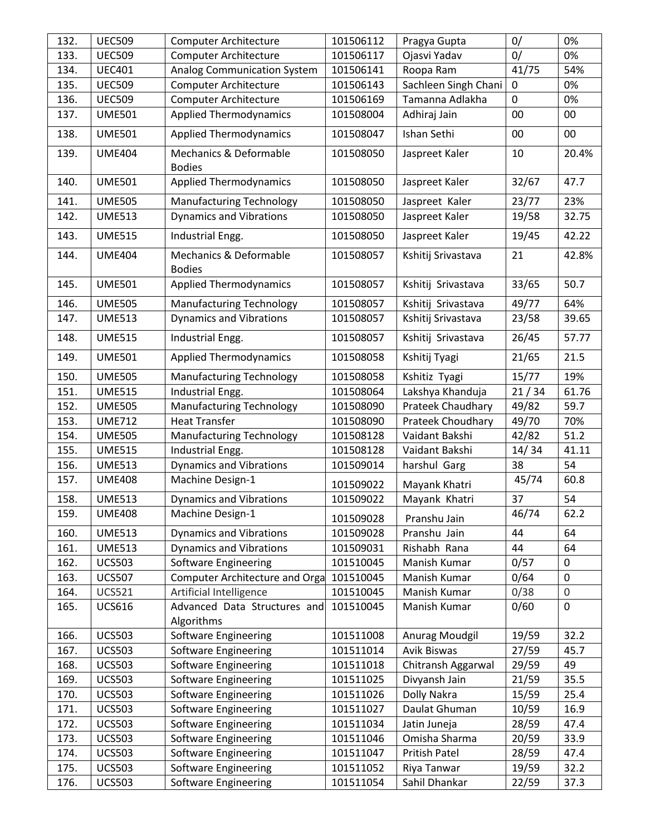| 132. | <b>UEC509</b> | <b>Computer Architecture</b>                       | 101506112 | Pragya Gupta             | 0/          | 0%               |
|------|---------------|----------------------------------------------------|-----------|--------------------------|-------------|------------------|
| 133. | <b>UEC509</b> | <b>Computer Architecture</b>                       | 101506117 | Ojasvi Yadav             | 0/          | 0%               |
| 134. | <b>UEC401</b> | <b>Analog Communication System</b>                 | 101506141 | Roopa Ram                | 41/75       | 54%              |
| 135. | <b>UEC509</b> | <b>Computer Architecture</b>                       | 101506143 | Sachleen Singh Chani     | $\Omega$    | 0%               |
| 136. | <b>UEC509</b> | <b>Computer Architecture</b>                       | 101506169 | Tamanna Adlakha          | $\mathbf 0$ | 0%               |
| 137. | <b>UME501</b> | <b>Applied Thermodynamics</b>                      | 101508004 | Adhiraj Jain             | 00          | 00               |
| 138. | <b>UME501</b> | <b>Applied Thermodynamics</b>                      | 101508047 | Ishan Sethi              | 00          | 00               |
| 139. | <b>UME404</b> | <b>Mechanics &amp; Deformable</b><br><b>Bodies</b> | 101508050 | Jaspreet Kaler           | 10          | 20.4%            |
| 140. | <b>UME501</b> | <b>Applied Thermodynamics</b>                      | 101508050 | Jaspreet Kaler           | 32/67       | 47.7             |
| 141. | <b>UME505</b> | <b>Manufacturing Technology</b>                    | 101508050 | Jaspreet Kaler           | 23/77       | 23%              |
| 142. | <b>UME513</b> | <b>Dynamics and Vibrations</b>                     | 101508050 | Jaspreet Kaler           | 19/58       | 32.75            |
| 143. | <b>UME515</b> | Industrial Engg.                                   | 101508050 | Jaspreet Kaler           | 19/45       | 42.22            |
| 144. | <b>UME404</b> | Mechanics & Deformable<br><b>Bodies</b>            | 101508057 | Kshitij Srivastava       | 21          | 42.8%            |
| 145. | <b>UME501</b> | <b>Applied Thermodynamics</b>                      | 101508057 | Kshitij Srivastava       | 33/65       | 50.7             |
| 146. | <b>UME505</b> | <b>Manufacturing Technology</b>                    | 101508057 | Kshitij Srivastava       | 49/77       | 64%              |
| 147. | <b>UME513</b> | <b>Dynamics and Vibrations</b>                     | 101508057 | Kshitij Srivastava       | 23/58       | 39.65            |
| 148. | <b>UME515</b> | Industrial Engg.                                   | 101508057 | Kshitij Srivastava       | 26/45       | 57.77            |
| 149. | <b>UME501</b> | <b>Applied Thermodynamics</b>                      | 101508058 | Kshitij Tyagi            | 21/65       | 21.5             |
| 150. | <b>UME505</b> | <b>Manufacturing Technology</b>                    | 101508058 | Kshitiz Tyagi            | 15/77       | 19%              |
| 151. | <b>UME515</b> | Industrial Engg.                                   | 101508064 | Lakshya Khanduja         | 21/34       | 61.76            |
| 152. | <b>UME505</b> | Manufacturing Technology                           | 101508090 | Prateek Chaudhary        | 49/82       | 59.7             |
| 153. | <b>UME712</b> | <b>Heat Transfer</b>                               | 101508090 | <b>Prateek Choudhary</b> | 49/70       | 70%              |
| 154. | <b>UME505</b> | <b>Manufacturing Technology</b>                    | 101508128 | Vaidant Bakshi           | 42/82       | 51.2             |
| 155. | <b>UME515</b> | Industrial Engg.                                   | 101508128 | Vaidant Bakshi           | 14/34       | 41.11            |
| 156. | <b>UME513</b> | <b>Dynamics and Vibrations</b>                     | 101509014 | harshul Garg             | 38          | 54               |
| 157. | <b>UME408</b> | Machine Design-1                                   | 101509022 | Mayank Khatri            | 45/74       | 60.8             |
| 158. | <b>UME513</b> | <b>Dynamics and Vibrations</b>                     | 101509022 | Mayank Khatri            | 37          | 54               |
| 159. | <b>UME408</b> | Machine Design-1                                   | 101509028 | Pranshu Jain             | 46/74       | 62.2             |
| 160. | <b>UME513</b> | <b>Dynamics and Vibrations</b>                     | 101509028 | Pranshu Jain             | 44          | 64               |
| 161. | <b>UME513</b> | <b>Dynamics and Vibrations</b>                     | 101509031 | Rishabh Rana             | 44          | 64               |
| 162. | <b>UCS503</b> | Software Engineering                               | 101510045 | Manish Kumar             | 0/57        | 0                |
| 163. | <b>UCS507</b> | Computer Architecture and Orga                     | 101510045 | Manish Kumar             | 0/64        | $\pmb{0}$        |
| 164. | <b>UCS521</b> | Artificial Intelligence                            | 101510045 | Manish Kumar             | 0/38        | $\boldsymbol{0}$ |
| 165. | <b>UCS616</b> | Advanced Data Structures and<br>Algorithms         | 101510045 | Manish Kumar             | 0/60        | $\mathbf 0$      |
| 166. | <b>UCS503</b> | <b>Software Engineering</b>                        | 101511008 | Anurag Moudgil           | 19/59       | 32.2             |
| 167. | <b>UCS503</b> | Software Engineering                               | 101511014 | Avik Biswas              | 27/59       | 45.7             |
| 168. | <b>UCS503</b> | Software Engineering                               | 101511018 | Chitransh Aggarwal       | 29/59       | 49               |
| 169. | <b>UCS503</b> | Software Engineering                               | 101511025 | Divyansh Jain            | 21/59       | 35.5             |
| 170. | <b>UCS503</b> | Software Engineering                               | 101511026 | Dolly Nakra              | 15/59       | 25.4             |
| 171. | <b>UCS503</b> | Software Engineering                               | 101511027 | Daulat Ghuman            | 10/59       | 16.9             |
| 172. | <b>UCS503</b> | Software Engineering                               | 101511034 | Jatin Juneja             | 28/59       | 47.4             |
| 173. | <b>UCS503</b> | Software Engineering                               | 101511046 | Omisha Sharma            | 20/59       | 33.9             |
| 174. | <b>UCS503</b> | <b>Software Engineering</b>                        | 101511047 | <b>Pritish Patel</b>     | 28/59       | 47.4             |
| 175. | <b>UCS503</b> | Software Engineering                               | 101511052 | Riya Tanwar              | 19/59       | 32.2             |
| 176. | <b>UCS503</b> | Software Engineering                               | 101511054 | Sahil Dhankar            | 22/59       | 37.3             |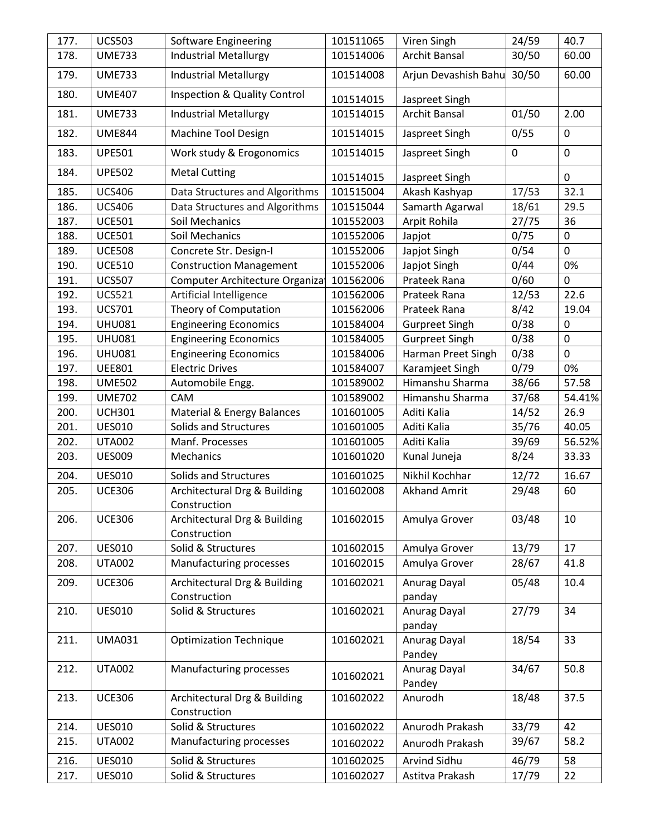| 177. | <b>UCS503</b> | Software Engineering                         | 101511065 | Viren Singh                | 24/59       | 40.7         |
|------|---------------|----------------------------------------------|-----------|----------------------------|-------------|--------------|
| 178. | <b>UME733</b> | <b>Industrial Metallurgy</b>                 | 101514006 | <b>Archit Bansal</b>       | 30/50       | 60.00        |
| 179. | <b>UME733</b> | <b>Industrial Metallurgy</b>                 | 101514008 | Arjun Devashish Bahu 30/50 |             | 60.00        |
| 180. | <b>UME407</b> | <b>Inspection &amp; Quality Control</b>      | 101514015 | Jaspreet Singh             |             |              |
| 181. | <b>UME733</b> | <b>Industrial Metallurgy</b>                 | 101514015 | Archit Bansal              | 01/50       | 2.00         |
| 182. | <b>UME844</b> | Machine Tool Design                          | 101514015 | Jaspreet Singh             | 0/55        | $\mathbf 0$  |
| 183. | <b>UPE501</b> | Work study & Erogonomics                     | 101514015 | Jaspreet Singh             | $\mathbf 0$ | $\mathbf 0$  |
| 184. | <b>UPE502</b> | <b>Metal Cutting</b>                         | 101514015 | Jaspreet Singh             |             | 0            |
| 185. | <b>UCS406</b> | Data Structures and Algorithms               | 101515004 | Akash Kashyap              | 17/53       | 32.1         |
| 186. | <b>UCS406</b> | Data Structures and Algorithms               | 101515044 | Samarth Agarwal            | 18/61       | 29.5         |
| 187. | <b>UCE501</b> | Soil Mechanics                               | 101552003 | Arpit Rohila               | 27/75       | 36           |
| 188. | <b>UCE501</b> | Soil Mechanics                               | 101552006 | Japjot                     | 0/75        | 0            |
| 189. | <b>UCE508</b> | Concrete Str. Design-I                       | 101552006 | Japjot Singh               | 0/54        | $\mathbf{0}$ |
| 190. | <b>UCE510</b> | <b>Construction Management</b>               | 101552006 | Japjot Singh               | 0/44        | 0%           |
| 191. | <b>UCS507</b> | Computer Architecture Organiza               | 101562006 | Prateek Rana               | 0/60        | $\mathbf 0$  |
| 192. | <b>UCS521</b> | Artificial Intelligence                      | 101562006 | Prateek Rana               | 12/53       | 22.6         |
| 193. | <b>UCS701</b> | Theory of Computation                        | 101562006 | Prateek Rana               | 8/42        | 19.04        |
| 194. | <b>UHU081</b> | <b>Engineering Economics</b>                 | 101584004 | <b>Gurpreet Singh</b>      | 0/38        | $\mathbf 0$  |
| 195. | <b>UHU081</b> | <b>Engineering Economics</b>                 | 101584005 | <b>Gurpreet Singh</b>      | 0/38        | 0            |
| 196. | <b>UHU081</b> | <b>Engineering Economics</b>                 | 101584006 | Harman Preet Singh         | 0/38        | $\mathbf 0$  |
| 197. | <b>UEE801</b> | <b>Electric Drives</b>                       | 101584007 | Karamjeet Singh            | 0/79        | 0%           |
| 198. |               |                                              |           | Himanshu Sharma            | 38/66       | 57.58        |
|      | <b>UME502</b> | Automobile Engg.                             | 101589002 |                            |             |              |
| 199. | <b>UME702</b> | CAM                                          | 101589002 | Himanshu Sharma            | 37/68       | 54.41%       |
| 200. | <b>UCH301</b> | Material & Energy Balances                   | 101601005 | Aditi Kalia                | 14/52       | 26.9         |
| 201. | <b>UES010</b> | Solids and Structures                        | 101601005 | Aditi Kalia                | 35/76       | 40.05        |
| 202. | <b>UTA002</b> | Manf. Processes                              | 101601005 | Aditi Kalia                | 39/69       | 56.52%       |
| 203. | <b>UES009</b> | Mechanics                                    | 101601020 | Kunal Juneja               | 8/24        | 33.33        |
| 204. | <b>UES010</b> | Solids and Structures                        | 101601025 | Nikhil Kochhar             | 12/72       | 16.67        |
| 205. | <b>UCE306</b> | Architectural Drg & Building<br>Construction | 101602008 | <b>Akhand Amrit</b>        | 29/48       | 60           |
| 206. | <b>UCE306</b> | Architectural Drg & Building                 | 101602015 | Amulya Grover              | 03/48       | 10           |
|      |               | Construction                                 |           |                            |             |              |
| 207. | <b>UES010</b> | Solid & Structures                           | 101602015 | Amulya Grover              | 13/79       | 17           |
| 208. | <b>UTA002</b> | Manufacturing processes                      | 101602015 | Amulya Grover              | 28/67       | 41.8         |
| 209. | <b>UCE306</b> | Architectural Drg & Building<br>Construction | 101602021 | Anurag Dayal<br>panday     | 05/48       | 10.4         |
| 210. | <b>UES010</b> | Solid & Structures                           | 101602021 | Anurag Dayal<br>panday     | 27/79       | 34           |
| 211. | <b>UMA031</b> | <b>Optimization Technique</b>                | 101602021 | Anurag Dayal               | 18/54       | 33           |
| 212. | <b>UTA002</b> | Manufacturing processes                      | 101602021 | Pandey<br>Anurag Dayal     | 34/67       | 50.8         |
|      |               |                                              |           | Pandey                     |             |              |
| 213. | <b>UCE306</b> | Architectural Drg & Building<br>Construction | 101602022 | Anurodh                    | 18/48       | 37.5         |
| 214. | <b>UES010</b> | Solid & Structures                           | 101602022 | Anurodh Prakash            | 33/79       | 42           |
| 215. | <b>UTA002</b> | Manufacturing processes                      | 101602022 | Anurodh Prakash            | 39/67       | 58.2         |
| 216. | <b>UES010</b> | Solid & Structures                           | 101602025 | Arvind Sidhu               | 46/79       | 58           |
| 217. | <b>UES010</b> | Solid & Structures                           | 101602027 | Astitva Prakash            | 17/79       | 22           |
|      |               |                                              |           |                            |             |              |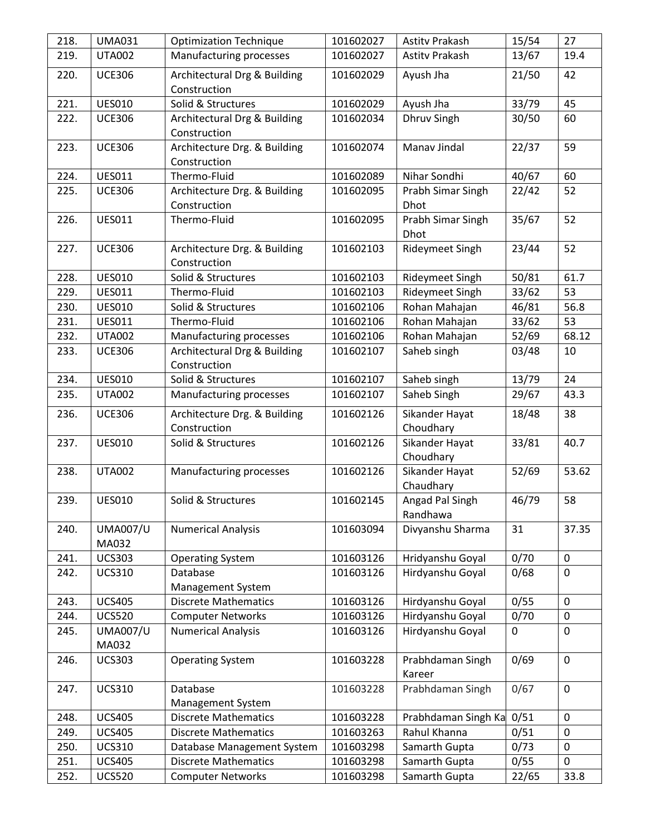| 218. | <b>UMA031</b>            | <b>Optimization Technique</b>                | 101602027 | <b>Astity Prakash</b>       | 15/54        | 27          |
|------|--------------------------|----------------------------------------------|-----------|-----------------------------|--------------|-------------|
| 219. | <b>UTA002</b>            | Manufacturing processes                      | 101602027 | Astity Prakash              | 13/67        | 19.4        |
| 220. | <b>UCE306</b>            | Architectural Drg & Building<br>Construction | 101602029 | Ayush Jha                   | 21/50        | 42          |
| 221. | <b>UES010</b>            | Solid & Structures                           | 101602029 | Ayush Jha                   | 33/79        | 45          |
| 222. | <b>UCE306</b>            | Architectural Drg & Building<br>Construction | 101602034 | Dhruv Singh                 | 30/50        | 60          |
| 223. | <b>UCE306</b>            | Architecture Drg. & Building<br>Construction | 101602074 | Manav Jindal                | 22/37        | 59          |
| 224. | <b>UES011</b>            | Thermo-Fluid                                 | 101602089 | Nihar Sondhi                | 40/67        | 60          |
| 225. | <b>UCE306</b>            | Architecture Drg. & Building<br>Construction | 101602095 | Prabh Simar Singh<br>Dhot   | 22/42        | 52          |
| 226. | <b>UES011</b>            | Thermo-Fluid                                 | 101602095 | Prabh Simar Singh<br>Dhot   | 35/67        | 52          |
| 227. | <b>UCE306</b>            | Architecture Drg. & Building<br>Construction | 101602103 | Rideymeet Singh             | 23/44        | 52          |
| 228. | <b>UES010</b>            | Solid & Structures                           | 101602103 | Rideymeet Singh             | 50/81        | 61.7        |
| 229. | <b>UES011</b>            | Thermo-Fluid                                 | 101602103 | Rideymeet Singh             | 33/62        | 53          |
| 230. | <b>UES010</b>            | Solid & Structures                           | 101602106 | Rohan Mahajan               | 46/81        | 56.8        |
| 231. | <b>UES011</b>            | Thermo-Fluid                                 | 101602106 | Rohan Mahajan               | 33/62        | 53          |
| 232. | <b>UTA002</b>            | Manufacturing processes                      | 101602106 | Rohan Mahajan               | 52/69        | 68.12       |
| 233. | <b>UCE306</b>            | Architectural Drg & Building<br>Construction | 101602107 | Saheb singh                 | 03/48        | 10          |
| 234. | <b>UES010</b>            | Solid & Structures                           | 101602107 | Saheb singh                 | 13/79        | 24          |
| 235. | <b>UTA002</b>            | Manufacturing processes                      | 101602107 | Saheb Singh                 | 29/67        | 43.3        |
| 236. | <b>UCE306</b>            | Architecture Drg. & Building<br>Construction | 101602126 | Sikander Hayat<br>Choudhary | 18/48        | 38          |
| 237. | <b>UES010</b>            | Solid & Structures                           | 101602126 | Sikander Hayat<br>Choudhary | 33/81        | 40.7        |
| 238. | <b>UTA002</b>            | Manufacturing processes                      | 101602126 | Sikander Hayat<br>Chaudhary | 52/69        | 53.62       |
| 239. | <b>UES010</b>            | Solid & Structures                           | 101602145 | Angad Pal Singh<br>Randhawa | 46/79        | 58          |
| 240. | <b>UMA007/U</b><br>MA032 | <b>Numerical Analysis</b>                    | 101603094 | Divyanshu Sharma            | 31           | 37.35       |
| 241. | <b>UCS303</b>            | <b>Operating System</b>                      | 101603126 | Hridyanshu Goyal            | 0/70         | $\mathbf 0$ |
| 242. | <b>UCS310</b>            | Database<br>Management System                | 101603126 | Hirdyanshu Goyal            | 0/68         | $\mathbf 0$ |
| 243. | <b>UCS405</b>            | <b>Discrete Mathematics</b>                  | 101603126 | Hirdyanshu Goyal            | 0/55         | $\mathbf 0$ |
| 244. | <b>UCS520</b>            | <b>Computer Networks</b>                     | 101603126 | Hirdyanshu Goyal            | 0/70         | 0           |
| 245. | <b>UMA007/U</b><br>MA032 | <b>Numerical Analysis</b>                    | 101603126 | Hirdyanshu Goyal            | $\mathbf{0}$ | $\mathbf 0$ |
| 246. | <b>UCS303</b>            | <b>Operating System</b>                      | 101603228 | Prabhdaman Singh<br>Kareer  | 0/69         | $\mathbf 0$ |
| 247. | <b>UCS310</b>            | Database<br>Management System                | 101603228 | Prabhdaman Singh            | 0/67         | $\mathbf 0$ |
| 248. | <b>UCS405</b>            | <b>Discrete Mathematics</b>                  | 101603228 | Prabhdaman Singh Ka         | 0/51         | $\mathbf 0$ |
| 249. | <b>UCS405</b>            | <b>Discrete Mathematics</b>                  | 101603263 | Rahul Khanna                | 0/51         | 0           |
| 250. | <b>UCS310</b>            | Database Management System                   | 101603298 | Samarth Gupta               | 0/73         | $\mathbf 0$ |
| 251. | <b>UCS405</b>            | <b>Discrete Mathematics</b>                  | 101603298 | Samarth Gupta               | 0/55         | 0           |
| 252. | <b>UCS520</b>            | <b>Computer Networks</b>                     | 101603298 | Samarth Gupta               | 22/65        | 33.8        |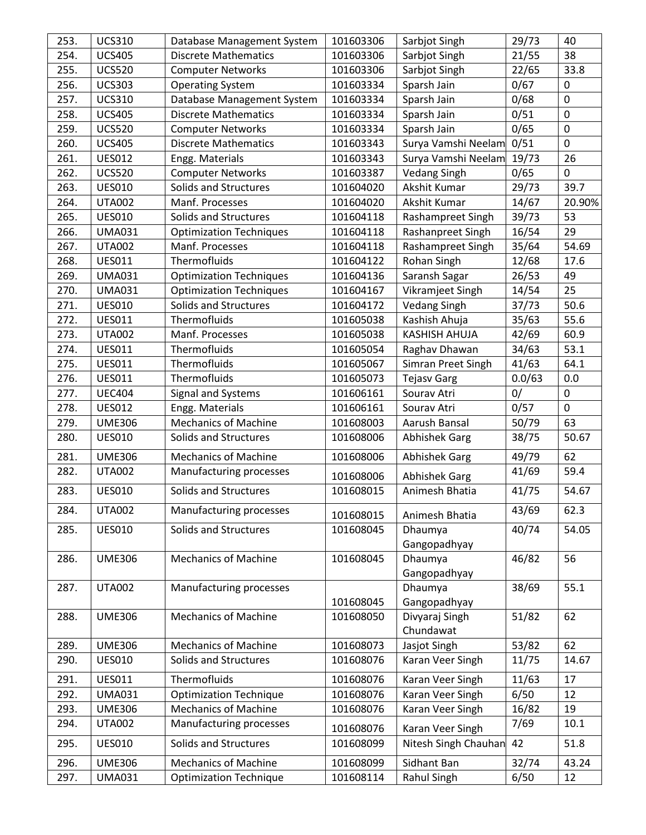| 253. | <b>UCS310</b> | Database Management System     | 101603306 | Sarbjot Singh        | 29/73  | 40          |
|------|---------------|--------------------------------|-----------|----------------------|--------|-------------|
| 254. | <b>UCS405</b> | <b>Discrete Mathematics</b>    | 101603306 | Sarbjot Singh        | 21/55  | 38          |
| 255. | <b>UCS520</b> | <b>Computer Networks</b>       | 101603306 | Sarbjot Singh        | 22/65  | 33.8        |
| 256. | <b>UCS303</b> | <b>Operating System</b>        | 101603334 | Sparsh Jain          | 0/67   | 0           |
| 257. | <b>UCS310</b> | Database Management System     | 101603334 | Sparsh Jain          | 0/68   | $\mathbf 0$ |
| 258. | <b>UCS405</b> | <b>Discrete Mathematics</b>    | 101603334 | Sparsh Jain          | 0/51   | $\mathbf 0$ |
| 259. | <b>UCS520</b> | <b>Computer Networks</b>       | 101603334 | Sparsh Jain          | 0/65   | $\mathbf 0$ |
| 260. | <b>UCS405</b> | <b>Discrete Mathematics</b>    | 101603343 | Surya Vamshi Neelam  | 0/51   | $\mathbf 0$ |
| 261. | <b>UES012</b> | Engg. Materials                | 101603343 | Surya Vamshi Neelam  | 19/73  | 26          |
| 262. | <b>UCS520</b> | <b>Computer Networks</b>       | 101603387 | <b>Vedang Singh</b>  | 0/65   | 0           |
| 263. | <b>UES010</b> | Solids and Structures          | 101604020 | Akshit Kumar         | 29/73  | 39.7        |
| 264. | <b>UTA002</b> | Manf. Processes                | 101604020 | Akshit Kumar         | 14/67  | 20.90%      |
| 265. | <b>UES010</b> | Solids and Structures          | 101604118 | Rashampreet Singh    | 39/73  | 53          |
| 266. | <b>UMA031</b> | <b>Optimization Techniques</b> | 101604118 | Rashanpreet Singh    | 16/54  | 29          |
| 267. | <b>UTA002</b> | Manf. Processes                | 101604118 | Rashampreet Singh    | 35/64  | 54.69       |
| 268. | <b>UES011</b> | Thermofluids                   | 101604122 | Rohan Singh          | 12/68  | 17.6        |
| 269. | <b>UMA031</b> | <b>Optimization Techniques</b> | 101604136 | Saransh Sagar        | 26/53  | 49          |
| 270. | <b>UMA031</b> | <b>Optimization Techniques</b> | 101604167 | Vikramjeet Singh     | 14/54  | 25          |
| 271. | <b>UES010</b> | Solids and Structures          | 101604172 | <b>Vedang Singh</b>  | 37/73  | 50.6        |
| 272. | <b>UES011</b> | Thermofluids                   | 101605038 | Kashish Ahuja        | 35/63  | 55.6        |
| 273. | <b>UTA002</b> | Manf. Processes                | 101605038 | <b>KASHISH AHUJA</b> | 42/69  | 60.9        |
| 274. | <b>UES011</b> | Thermofluids                   | 101605054 | Raghav Dhawan        | 34/63  | 53.1        |
| 275. | <b>UES011</b> | Thermofluids                   | 101605067 | Simran Preet Singh   | 41/63  | 64.1        |
| 276. | <b>UES011</b> | Thermofluids                   | 101605073 | <b>Tejasv Garg</b>   | 0.0/63 | 0.0         |
| 277. | <b>UEC404</b> | Signal and Systems             | 101606161 | Sourav Atri          | 0/     | $\mathbf 0$ |
| 278. | <b>UES012</b> | Engg. Materials                | 101606161 | Sourav Atri          | 0/57   | $\mathbf 0$ |
| 279. | <b>UME306</b> | <b>Mechanics of Machine</b>    | 101608003 | Aarush Bansal        | 50/79  | 63          |
| 280. | <b>UES010</b> | Solids and Structures          | 101608006 | <b>Abhishek Garg</b> | 38/75  | 50.67       |
| 281. | <b>UME306</b> | <b>Mechanics of Machine</b>    | 101608006 | <b>Abhishek Garg</b> | 49/79  | 62          |
| 282. | <b>UTA002</b> | Manufacturing processes        |           |                      | 41/69  | 59.4        |
|      |               |                                | 101608006 | <b>Abhishek Garg</b> |        |             |
| 283. | <b>UES010</b> | Solids and Structures          | 101608015 | Animesh Bhatia       | 41/75  | 54.67       |
| 284. | <b>UTA002</b> | Manufacturing processes        | 101608015 | Animesh Bhatia       | 43/69  | 62.3        |
| 285. | <b>UES010</b> | Solids and Structures          | 101608045 | Dhaumya              | 40/74  | 54.05       |
|      |               |                                |           | Gangopadhyay         |        |             |
| 286. | <b>UME306</b> | <b>Mechanics of Machine</b>    | 101608045 | Dhaumya              | 46/82  | 56          |
|      |               |                                |           | Gangopadhyay         |        |             |
| 287. | <b>UTA002</b> | Manufacturing processes        |           | Dhaumya              | 38/69  | 55.1        |
|      |               |                                | 101608045 | Gangopadhyay         |        |             |
| 288. | <b>UME306</b> | <b>Mechanics of Machine</b>    | 101608050 | Divyaraj Singh       | 51/82  | 62          |
|      |               |                                |           | Chundawat            |        |             |
| 289. | <b>UME306</b> | <b>Mechanics of Machine</b>    | 101608073 | Jasjot Singh         | 53/82  | 62          |
| 290. | <b>UES010</b> | Solids and Structures          | 101608076 | Karan Veer Singh     | 11/75  | 14.67       |
| 291. | <b>UES011</b> | Thermofluids                   | 101608076 | Karan Veer Singh     | 11/63  | 17          |
| 292. | <b>UMA031</b> | <b>Optimization Technique</b>  | 101608076 | Karan Veer Singh     | 6/50   | 12          |
| 293. | <b>UME306</b> | <b>Mechanics of Machine</b>    | 101608076 | Karan Veer Singh     | 16/82  | 19          |
| 294. | <b>UTA002</b> | Manufacturing processes        | 101608076 | Karan Veer Singh     | 7/69   | 10.1        |
| 295. | <b>UES010</b> | Solids and Structures          | 101608099 | Nitesh Singh Chauhan | 42     | 51.8        |
| 296. | <b>UME306</b> | <b>Mechanics of Machine</b>    | 101608099 | Sidhant Ban          | 32/74  | 43.24       |
| 297. | <b>UMA031</b> | <b>Optimization Technique</b>  | 101608114 | <b>Rahul Singh</b>   | 6/50   | 12          |
|      |               |                                |           |                      |        |             |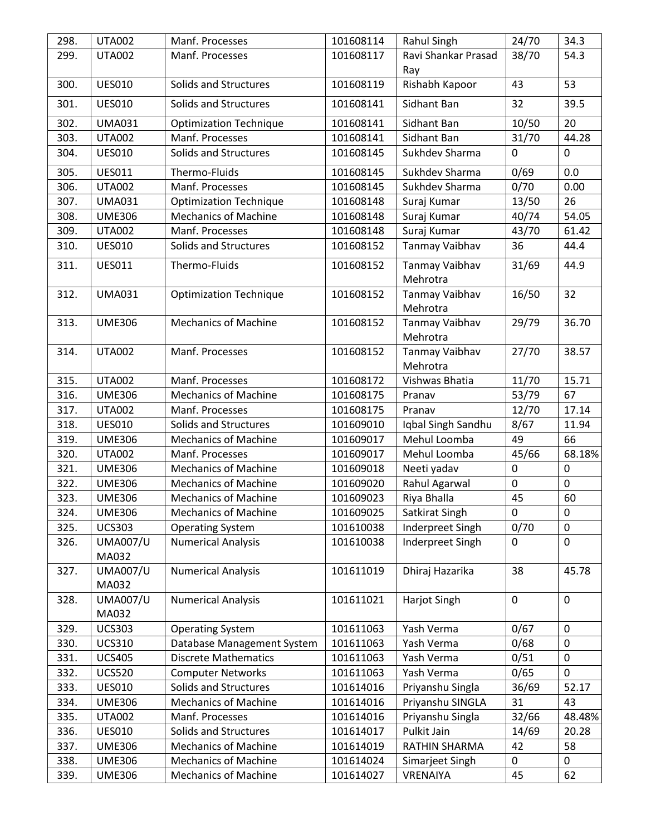| 298. | <b>UTA002</b>            | Manf. Processes               | 101608114 | Rahul Singh                | 24/70        | 34.3        |
|------|--------------------------|-------------------------------|-----------|----------------------------|--------------|-------------|
| 299. | <b>UTA002</b>            | Manf. Processes               | 101608117 | Ravi Shankar Prasad        | 38/70        | 54.3        |
|      |                          |                               |           | Ray                        |              |             |
| 300. | <b>UES010</b>            | Solids and Structures         | 101608119 | Rishabh Kapoor             | 43           | 53          |
| 301. | <b>UES010</b>            | Solids and Structures         | 101608141 | Sidhant Ban                | 32           | 39.5        |
| 302. | <b>UMA031</b>            | <b>Optimization Technique</b> | 101608141 | Sidhant Ban                | 10/50        | 20          |
| 303. | <b>UTA002</b>            | Manf. Processes               | 101608141 | Sidhant Ban                | 31/70        | 44.28       |
| 304. | <b>UES010</b>            | Solids and Structures         | 101608145 | Sukhdev Sharma             | $\mathbf{0}$ | $\mathbf 0$ |
| 305. | <b>UES011</b>            | Thermo-Fluids                 | 101608145 | Sukhdev Sharma             | 0/69         | 0.0         |
| 306. | <b>UTA002</b>            | Manf. Processes               | 101608145 | Sukhdev Sharma             | 0/70         | 0.00        |
| 307. | <b>UMA031</b>            | <b>Optimization Technique</b> | 101608148 | Suraj Kumar                | 13/50        | 26          |
| 308. | <b>UME306</b>            | <b>Mechanics of Machine</b>   | 101608148 | Suraj Kumar                | 40/74        | 54.05       |
| 309. | <b>UTA002</b>            | Manf. Processes               | 101608148 | Suraj Kumar                | 43/70        | 61.42       |
| 310. | <b>UES010</b>            | Solids and Structures         | 101608152 | Tanmay Vaibhav             | 36           | 44.4        |
| 311. | <b>UES011</b>            | Thermo-Fluids                 | 101608152 | Tanmay Vaibhav<br>Mehrotra | 31/69        | 44.9        |
| 312. | <b>UMA031</b>            | <b>Optimization Technique</b> | 101608152 | Tanmay Vaibhav<br>Mehrotra | 16/50        | 32          |
| 313. | <b>UME306</b>            | <b>Mechanics of Machine</b>   | 101608152 | Tanmay Vaibhav<br>Mehrotra | 29/79        | 36.70       |
| 314. | <b>UTA002</b>            | Manf. Processes               | 101608152 | Tanmay Vaibhav<br>Mehrotra | 27/70        | 38.57       |
| 315. | <b>UTA002</b>            | Manf. Processes               | 101608172 | Vishwas Bhatia             | 11/70        | 15.71       |
| 316. | <b>UME306</b>            | <b>Mechanics of Machine</b>   | 101608175 | Pranav                     | 53/79        | 67          |
| 317. | <b>UTA002</b>            | Manf. Processes               | 101608175 | Pranav                     | 12/70        | 17.14       |
| 318. | <b>UES010</b>            | Solids and Structures         | 101609010 | Iqbal Singh Sandhu         | 8/67         | 11.94       |
| 319. | <b>UME306</b>            | <b>Mechanics of Machine</b>   | 101609017 | Mehul Loomba               | 49           | 66          |
| 320. | <b>UTA002</b>            | Manf. Processes               | 101609017 | Mehul Loomba               | 45/66        | 68.18%      |
| 321. | <b>UME306</b>            | <b>Mechanics of Machine</b>   | 101609018 | Neeti yadav                | $\mathbf 0$  | $\mathbf 0$ |
| 322. | <b>UME306</b>            | <b>Mechanics of Machine</b>   | 101609020 | Rahul Agarwal              | 0            | $\mathbf 0$ |
| 323. | <b>UME306</b>            | <b>Mechanics of Machine</b>   | 101609023 | Riya Bhalla                | 45           | 60          |
| 324. | <b>UME306</b>            | <b>Mechanics of Machine</b>   | 101609025 | Satkirat Singh             | 0            | 0           |
| 325. | <b>UCS303</b>            | <b>Operating System</b>       | 101610038 | Inderpreet Singh           | 0/70         | $\mathbf 0$ |
| 326. | <b>UMA007/U</b><br>MA032 | <b>Numerical Analysis</b>     | 101610038 | Inderpreet Singh           | 0            | $\mathbf 0$ |
| 327. | <b>UMA007/U</b><br>MA032 | <b>Numerical Analysis</b>     | 101611019 | Dhiraj Hazarika            | 38           | 45.78       |
| 328. | <b>UMA007/U</b><br>MA032 | <b>Numerical Analysis</b>     | 101611021 | Harjot Singh               | $\mathbf 0$  | $\mathbf 0$ |
| 329. | <b>UCS303</b>            | <b>Operating System</b>       | 101611063 | Yash Verma                 | 0/67         | $\mathbf 0$ |
| 330. | <b>UCS310</b>            | Database Management System    | 101611063 | Yash Verma                 | 0/68         | $\mathbf 0$ |
| 331. | <b>UCS405</b>            | <b>Discrete Mathematics</b>   | 101611063 | Yash Verma                 | 0/51         | $\mathbf 0$ |
| 332. | <b>UCS520</b>            | <b>Computer Networks</b>      | 101611063 | Yash Verma                 | 0/65         | 0           |
| 333. | <b>UES010</b>            | Solids and Structures         | 101614016 | Priyanshu Singla           | 36/69        | 52.17       |
| 334. | <b>UME306</b>            | <b>Mechanics of Machine</b>   | 101614016 | Priyanshu SINGLA           | 31           | 43          |
| 335. | <b>UTA002</b>            | Manf. Processes               | 101614016 | Priyanshu Singla           | 32/66        | 48.48%      |
| 336. | <b>UES010</b>            | Solids and Structures         | 101614017 | Pulkit Jain                | 14/69        | 20.28       |
| 337. | <b>UME306</b>            | <b>Mechanics of Machine</b>   | 101614019 | RATHIN SHARMA              | 42           | 58          |
| 338. | <b>UME306</b>            | <b>Mechanics of Machine</b>   | 101614024 | Simarjeet Singh            | 0            | 0           |
| 339. | <b>UME306</b>            | <b>Mechanics of Machine</b>   | 101614027 | VRENAIYA                   | 45           | 62          |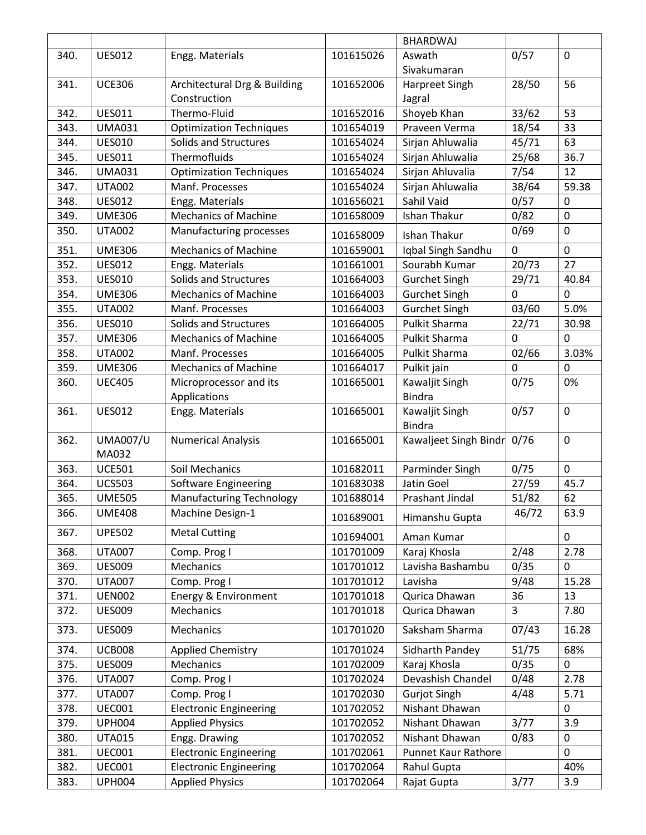|      |                 |                                 |           | <b>BHARDWAJ</b>       |             |             |
|------|-----------------|---------------------------------|-----------|-----------------------|-------------|-------------|
| 340. | <b>UES012</b>   | Engg. Materials                 | 101615026 | Aswath                | 0/57        | $\mathbf 0$ |
|      |                 |                                 |           | Sivakumaran           |             |             |
| 341. | <b>UCE306</b>   | Architectural Drg & Building    | 101652006 | Harpreet Singh        | 28/50       | 56          |
|      |                 | Construction                    |           | Jagral                |             |             |
| 342. | <b>UES011</b>   | Thermo-Fluid                    | 101652016 | Shoyeb Khan           | 33/62       | 53          |
| 343. | <b>UMA031</b>   | <b>Optimization Techniques</b>  | 101654019 | Praveen Verma         | 18/54       | 33          |
| 344. | <b>UES010</b>   | Solids and Structures           | 101654024 | Sirjan Ahluwalia      | 45/71       | 63          |
| 345. | <b>UES011</b>   | Thermofluids                    | 101654024 | Sirjan Ahluwalia      | 25/68       | 36.7        |
| 346. | <b>UMA031</b>   | <b>Optimization Techniques</b>  | 101654024 | Sirjan Ahluvalia      | 7/54        | 12          |
| 347. | <b>UTA002</b>   | Manf. Processes                 | 101654024 | Sirjan Ahluwalia      | 38/64       | 59.38       |
| 348. | <b>UES012</b>   | Engg. Materials                 | 101656021 | Sahil Vaid            | 0/57        | $\mathbf 0$ |
| 349. | <b>UME306</b>   | <b>Mechanics of Machine</b>     | 101658009 | <b>Ishan Thakur</b>   | 0/82        | $\mathbf 0$ |
| 350. | <b>UTA002</b>   | Manufacturing processes         | 101658009 | <b>Ishan Thakur</b>   | 0/69        | $\mathbf 0$ |
| 351. | <b>UME306</b>   | <b>Mechanics of Machine</b>     | 101659001 | Iqbal Singh Sandhu    | $\mathbf 0$ | $\mathbf 0$ |
| 352. | <b>UES012</b>   | Engg. Materials                 | 101661001 | Sourabh Kumar         | 20/73       | 27          |
| 353. | <b>UES010</b>   | <b>Solids and Structures</b>    | 101664003 | <b>Gurchet Singh</b>  | 29/71       | 40.84       |
| 354. | <b>UME306</b>   | <b>Mechanics of Machine</b>     | 101664003 | <b>Gurchet Singh</b>  | $\mathbf 0$ | $\Omega$    |
| 355. | <b>UTA002</b>   | Manf. Processes                 | 101664003 | <b>Gurchet Singh</b>  | 03/60       | 5.0%        |
| 356. | <b>UES010</b>   | Solids and Structures           | 101664005 | <b>Pulkit Sharma</b>  | 22/71       | 30.98       |
| 357. | <b>UME306</b>   | <b>Mechanics of Machine</b>     | 101664005 | <b>Pulkit Sharma</b>  | $\mathbf 0$ | $\mathbf 0$ |
| 358. | <b>UTA002</b>   | Manf. Processes                 | 101664005 | <b>Pulkit Sharma</b>  | 02/66       | 3.03%       |
| 359. | <b>UME306</b>   | <b>Mechanics of Machine</b>     | 101664017 | Pulkit jain           | $\mathbf 0$ | $\mathbf 0$ |
| 360. | <b>UEC405</b>   | Microprocessor and its          | 101665001 | Kawaljit Singh        | 0/75        | 0%          |
|      |                 | Applications                    |           | <b>Bindra</b>         |             |             |
| 361. | <b>UES012</b>   | Engg. Materials                 | 101665001 | Kawaljit Singh        | 0/57        | $\pmb{0}$   |
|      |                 |                                 |           | <b>Bindra</b>         |             |             |
| 362. | <b>UMA007/U</b> | <b>Numerical Analysis</b>       | 101665001 | Kawaljeet Singh Bindr | 0/76        | $\mathbf 0$ |
|      | MA032           |                                 |           |                       |             |             |
| 363. | <b>UCE501</b>   | Soil Mechanics                  | 101682011 | Parminder Singh       | 0/75        | $\mathbf 0$ |
| 364. | <b>UCS503</b>   | Software Engineering            | 101683038 | Jatin Goel            | 27/59       | 45.7        |
| 365. | <b>UME505</b>   | <b>Manufacturing Technology</b> | 101688014 | Prashant Jindal       | 51/82       | 62          |
| 366. | <b>UME408</b>   | Machine Design-1                | 101689001 | Himanshu Gupta        | 46/72       | 63.9        |
| 367. | <b>UPE502</b>   | <b>Metal Cutting</b>            |           | Aman Kumar            |             |             |
|      | <b>UTA007</b>   |                                 | 101694001 |                       |             | 0           |
| 368. |                 | Comp. Prog I                    | 101701009 | Karaj Khosla          | 2/48        | 2.78        |
| 369. | <b>UES009</b>   | Mechanics                       | 101701012 | Lavisha Bashambu      | 0/35        | $\Omega$    |
| 370. | <b>UTA007</b>   | Comp. Prog I                    | 101701012 | Lavisha               | 9/48        | 15.28       |
| 371. | <b>UEN002</b>   | Energy & Environment            | 101701018 | Qurica Dhawan         | 36          | 13          |
| 372. | <b>UES009</b>   | Mechanics                       | 101701018 | Qurica Dhawan         | 3           | 7.80        |
| 373. | <b>UES009</b>   | Mechanics                       | 101701020 | Saksham Sharma        | 07/43       | 16.28       |
| 374. | <b>UCB008</b>   | <b>Applied Chemistry</b>        | 101701024 | Sidharth Pandey       | 51/75       | 68%         |
| 375. | <b>UES009</b>   | Mechanics                       | 101702009 | Karaj Khosla          | 0/35        | 0           |
| 376. | <b>UTA007</b>   | Comp. Prog I                    | 101702024 | Devashish Chandel     | 0/48        | 2.78        |
| 377. | <b>UTA007</b>   | Comp. Prog I                    | 101702030 | <b>Gurjot Singh</b>   | 4/48        | 5.71        |
| 378. | <b>UEC001</b>   | <b>Electronic Engineering</b>   | 101702052 | Nishant Dhawan        |             | $\Omega$    |
| 379. | <b>UPH004</b>   | <b>Applied Physics</b>          | 101702052 | Nishant Dhawan        | 3/77        | 3.9         |
| 380. | <b>UTA015</b>   | Engg. Drawing                   | 101702052 | Nishant Dhawan        | 0/83        | $\mathbf 0$ |
| 381. | <b>UEC001</b>   | <b>Electronic Engineering</b>   | 101702061 | Punnet Kaur Rathore   |             | $\mathbf 0$ |
| 382. | <b>UEC001</b>   | <b>Electronic Engineering</b>   | 101702064 | Rahul Gupta           |             | 40%         |
| 383. | <b>UPH004</b>   | <b>Applied Physics</b>          | 101702064 | Rajat Gupta           | 3/77        | 3.9         |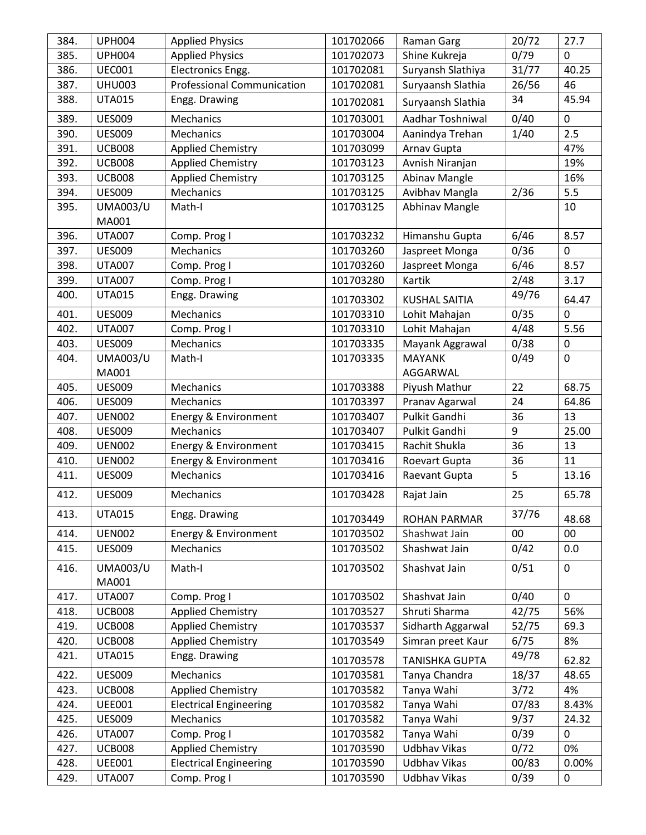| 384. | <b>UPH004</b>            | <b>Applied Physics</b>            | 101702066 | <b>Raman Garg</b>     | 20/72 | 27.7        |
|------|--------------------------|-----------------------------------|-----------|-----------------------|-------|-------------|
| 385. | <b>UPH004</b>            | <b>Applied Physics</b>            | 101702073 | Shine Kukreja         | 0/79  | $\Omega$    |
| 386. | <b>UEC001</b>            | Electronics Engg.                 | 101702081 | Suryansh Slathiya     | 31/77 | 40.25       |
| 387. | <b>UHU003</b>            | <b>Professional Communication</b> | 101702081 | Suryaansh Slathia     | 26/56 | 46          |
| 388. | <b>UTA015</b>            | Engg. Drawing                     | 101702081 | Suryaansh Slathia     | 34    | 45.94       |
| 389. | <b>UES009</b>            | Mechanics                         | 101703001 | Aadhar Toshniwal      | 0/40  | $\mathbf 0$ |
| 390. | <b>UES009</b>            | Mechanics                         | 101703004 | Aanindya Trehan       | 1/40  | 2.5         |
| 391. | <b>UCB008</b>            | <b>Applied Chemistry</b>          | 101703099 | Arnav Gupta           |       | 47%         |
| 392. | <b>UCB008</b>            | <b>Applied Chemistry</b>          | 101703123 | Avnish Niranjan       |       | 19%         |
| 393. | <b>UCB008</b>            | <b>Applied Chemistry</b>          | 101703125 | Abinav Mangle         |       | 16%         |
| 394. | <b>UES009</b>            | Mechanics                         | 101703125 | Avibhav Mangla        | 2/36  | 5.5         |
| 395. | <b>UMA003/U</b>          | Math-I                            | 101703125 | Abhinav Mangle        |       | 10          |
|      | MA001                    |                                   |           |                       |       |             |
| 396. | <b>UTA007</b>            | Comp. Prog I                      | 101703232 | Himanshu Gupta        | 6/46  | 8.57        |
| 397. | <b>UES009</b>            | Mechanics                         | 101703260 | Jaspreet Monga        | 0/36  | 0           |
| 398. | <b>UTA007</b>            | Comp. Prog I                      | 101703260 | Jaspreet Monga        | 6/46  | 8.57        |
| 399. | <b>UTA007</b>            | Comp. Prog I                      | 101703280 | Kartik                | 2/48  | 3.17        |
| 400. | <b>UTA015</b>            | Engg. Drawing                     | 101703302 | <b>KUSHAL SAITIA</b>  | 49/76 | 64.47       |
| 401. | <b>UES009</b>            | Mechanics                         | 101703310 | Lohit Mahajan         | 0/35  | $\mathbf 0$ |
| 402. | <b>UTA007</b>            | Comp. Prog I                      | 101703310 | Lohit Mahajan         | 4/48  | 5.56        |
| 403. | <b>UES009</b>            | Mechanics                         | 101703335 | Mayank Aggrawal       | 0/38  | 0           |
| 404. | <b>UMA003/U</b>          | Math-I                            | 101703335 | <b>MAYANK</b>         | 0/49  | $\mathbf 0$ |
|      | MA001                    |                                   |           | AGGARWAL              |       |             |
| 405. | <b>UES009</b>            | Mechanics                         | 101703388 | Piyush Mathur         | 22    | 68.75       |
| 406. | <b>UES009</b>            | Mechanics                         | 101703397 | Pranav Agarwal        | 24    | 64.86       |
| 407. | <b>UEN002</b>            | Energy & Environment              | 101703407 | Pulkit Gandhi         | 36    | 13          |
| 408. | <b>UES009</b>            | Mechanics                         | 101703407 | Pulkit Gandhi         | 9     | 25.00       |
| 409. | <b>UEN002</b>            | Energy & Environment              | 101703415 | Rachit Shukla         | 36    | 13          |
| 410. | <b>UEN002</b>            | Energy & Environment              | 101703416 | Roevart Gupta         | 36    | 11          |
| 411. | <b>UES009</b>            | Mechanics                         | 101703416 | Raevant Gupta         | 5     | 13.16       |
| 412. | <b>UES009</b>            | Mechanics                         | 101703428 | Rajat Jain            | 25    | 65.78       |
| 413. | <b>UTA015</b>            | Engg. Drawing                     | 101703449 | <b>ROHAN PARMAR</b>   | 37/76 | 48.68       |
| 414. | <b>UEN002</b>            | Energy & Environment              | 101703502 | Shashwat Jain         | 00    | 00          |
| 415. | <b>UES009</b>            | Mechanics                         | 101703502 | Shashwat Jain         | 0/42  | 0.0         |
| 416. | <b>UMA003/U</b><br>MA001 | Math-I                            | 101703502 | Shashvat Jain         | 0/51  | $\mathbf 0$ |
| 417. | <b>UTA007</b>            | Comp. Prog I                      | 101703502 | Shashvat Jain         | 0/40  | $\mathbf 0$ |
| 418. | <b>UCB008</b>            | <b>Applied Chemistry</b>          | 101703527 | Shruti Sharma         | 42/75 | 56%         |
| 419. | <b>UCB008</b>            | <b>Applied Chemistry</b>          | 101703537 | Sidharth Aggarwal     | 52/75 | 69.3        |
| 420. | <b>UCB008</b>            | <b>Applied Chemistry</b>          | 101703549 | Simran preet Kaur     | 6/75  | 8%          |
| 421. | <b>UTA015</b>            | Engg. Drawing                     | 101703578 | <b>TANISHKA GUPTA</b> | 49/78 | 62.82       |
| 422. | <b>UES009</b>            | Mechanics                         | 101703581 | Tanya Chandra         | 18/37 | 48.65       |
| 423. | <b>UCB008</b>            | <b>Applied Chemistry</b>          | 101703582 | Tanya Wahi            | 3/72  | 4%          |
| 424. | <b>UEE001</b>            | <b>Electrical Engineering</b>     | 101703582 | Tanya Wahi            | 07/83 | 8.43%       |
| 425. | <b>UES009</b>            | Mechanics                         | 101703582 | Tanya Wahi            | 9/37  | 24.32       |
| 426. | <b>UTA007</b>            | Comp. Prog I                      | 101703582 | Tanya Wahi            | 0/39  | 0           |
| 427. | <b>UCB008</b>            | <b>Applied Chemistry</b>          | 101703590 | <b>Udbhav Vikas</b>   | 0/72  | 0%          |
| 428. | <b>UEE001</b>            | <b>Electrical Engineering</b>     | 101703590 | Udbhav Vikas          | 00/83 | 0.00%       |
| 429. | <b>UTA007</b>            | Comp. Prog I                      | 101703590 | <b>Udbhav Vikas</b>   | 0/39  | 0           |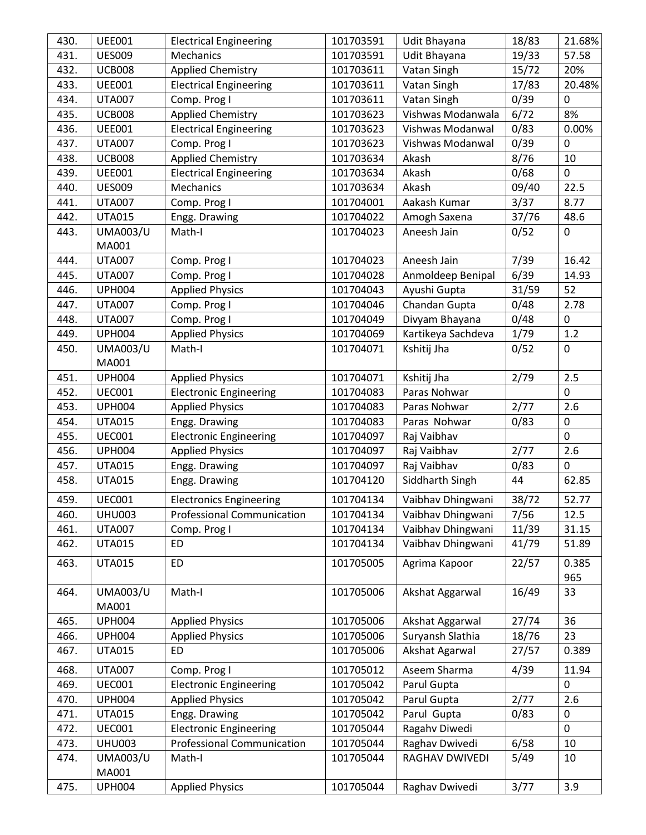| 430. | <b>UEE001</b>            | <b>Electrical Engineering</b>     | 101703591 | Udit Bhayana       | 18/83 | 21.68%         |
|------|--------------------------|-----------------------------------|-----------|--------------------|-------|----------------|
| 431. | <b>UES009</b>            | Mechanics                         | 101703591 | Udit Bhayana       | 19/33 | 57.58          |
| 432. | <b>UCB008</b>            | <b>Applied Chemistry</b>          | 101703611 | Vatan Singh        | 15/72 | 20%            |
| 433. | <b>UEE001</b>            | <b>Electrical Engineering</b>     | 101703611 | Vatan Singh        | 17/83 | 20.48%         |
| 434. | <b>UTA007</b>            | Comp. Prog I                      | 101703611 | Vatan Singh        | 0/39  | $\mathbf 0$    |
| 435. | <b>UCB008</b>            | <b>Applied Chemistry</b>          | 101703623 | Vishwas Modanwala  | 6/72  | 8%             |
| 436. | <b>UEE001</b>            | <b>Electrical Engineering</b>     | 101703623 | Vishwas Modanwal   | 0/83  | 0.00%          |
| 437. | <b>UTA007</b>            | Comp. Prog I                      | 101703623 | Vishwas Modanwal   | 0/39  | $\mathbf 0$    |
| 438. | <b>UCB008</b>            | <b>Applied Chemistry</b>          | 101703634 | Akash              | 8/76  | 10             |
| 439. | <b>UEE001</b>            | <b>Electrical Engineering</b>     | 101703634 | Akash              | 0/68  | 0              |
| 440. | <b>UES009</b>            | Mechanics                         | 101703634 | Akash              | 09/40 | 22.5           |
| 441. | <b>UTA007</b>            | Comp. Prog I                      | 101704001 | Aakash Kumar       | 3/37  | 8.77           |
| 442. | <b>UTA015</b>            | Engg. Drawing                     | 101704022 | Amogh Saxena       | 37/76 | 48.6           |
| 443. | <b>UMA003/U</b>          | Math-I                            | 101704023 | Aneesh Jain        | 0/52  | $\mathbf 0$    |
|      | MA001                    |                                   |           |                    |       |                |
| 444. | <b>UTA007</b>            | Comp. Prog I                      | 101704023 | Aneesh Jain        | 7/39  | 16.42          |
| 445. | <b>UTA007</b>            | Comp. Prog I                      | 101704028 | Anmoldeep Benipal  | 6/39  | 14.93          |
| 446. | <b>UPH004</b>            | <b>Applied Physics</b>            | 101704043 | Ayushi Gupta       | 31/59 | 52             |
| 447. | <b>UTA007</b>            | Comp. Prog I                      | 101704046 | Chandan Gupta      | 0/48  | 2.78           |
| 448. | <b>UTA007</b>            | Comp. Prog I                      | 101704049 | Divyam Bhayana     | 0/48  | 0              |
| 449. | <b>UPH004</b>            | <b>Applied Physics</b>            | 101704069 | Kartikeya Sachdeva | 1/79  | 1.2            |
| 450. | <b>UMA003/U</b>          | Math-I                            | 101704071 | Kshitij Jha        | 0/52  | $\mathbf 0$    |
|      | MA001                    |                                   |           |                    |       |                |
| 451. | <b>UPH004</b>            | <b>Applied Physics</b>            | 101704071 | Kshitij Jha        | 2/79  | 2.5            |
| 452. | <b>UEC001</b>            | <b>Electronic Engineering</b>     | 101704083 | Paras Nohwar       |       | $\overline{0}$ |
| 453. | <b>UPH004</b>            | <b>Applied Physics</b>            | 101704083 | Paras Nohwar       | 2/77  | 2.6            |
| 454. | <b>UTA015</b>            | Engg. Drawing                     | 101704083 | Paras Nohwar       | 0/83  | $\mathbf 0$    |
| 455. | <b>UEC001</b>            | <b>Electronic Engineering</b>     | 101704097 | Raj Vaibhav        |       | $\mathbf{0}$   |
| 456. | <b>UPH004</b>            | <b>Applied Physics</b>            | 101704097 | Raj Vaibhav        | 2/77  | 2.6            |
| 457. | <b>UTA015</b>            | Engg. Drawing                     | 101704097 | Raj Vaibhav        | 0/83  | $\mathbf 0$    |
| 458. | <b>UTA015</b>            | Engg. Drawing                     | 101704120 | Siddharth Singh    | 44    | 62.85          |
| 459. | <b>UEC001</b>            | <b>Electronics Engineering</b>    | 101704134 | Vaibhav Dhingwani  | 38/72 | 52.77          |
| 460. | <b>UHU003</b>            | <b>Professional Communication</b> | 101704134 | Vaibhav Dhingwani  | 7/56  | 12.5           |
| 461. | <b>UTA007</b>            | Comp. Prog I                      | 101704134 | Vaibhav Dhingwani  | 11/39 | 31.15          |
| 462. | <b>UTA015</b>            | ED                                | 101704134 | Vaibhav Dhingwani  | 41/79 | 51.89          |
| 463. | <b>UTA015</b>            | ED                                | 101705005 | Agrima Kapoor      | 22/57 | 0.385          |
|      |                          |                                   |           |                    |       | 965            |
| 464. | <b>UMA003/U</b>          | Math-I                            | 101705006 | Akshat Aggarwal    | 16/49 | 33             |
|      | MA001                    |                                   |           |                    |       |                |
| 465. | <b>UPH004</b>            | <b>Applied Physics</b>            | 101705006 | Akshat Aggarwal    | 27/74 | 36             |
| 466. | <b>UPH004</b>            | <b>Applied Physics</b>            | 101705006 | Suryansh Slathia   | 18/76 | 23             |
| 467. | <b>UTA015</b>            | <b>ED</b>                         | 101705006 | Akshat Agarwal     | 27/57 | 0.389          |
|      |                          |                                   |           | Aseem Sharma       | 4/39  |                |
| 468. | <b>UTA007</b>            | Comp. Prog I                      | 101705012 |                    |       | 11.94          |
| 469. | <b>UEC001</b>            | <b>Electronic Engineering</b>     | 101705042 | Parul Gupta        |       | 0              |
| 470. | <b>UPH004</b>            | <b>Applied Physics</b>            | 101705042 | Parul Gupta        | 2/77  | 2.6            |
| 471. | <b>UTA015</b>            | Engg. Drawing                     | 101705042 | Parul Gupta        | 0/83  | 0              |
| 472. | <b>UEC001</b>            | <b>Electronic Engineering</b>     | 101705044 | Ragahv Diwedi      |       | 0              |
| 473. | <b>UHU003</b>            | <b>Professional Communication</b> | 101705044 | Raghav Dwivedi     | 6/58  | 10             |
| 474. | <b>UMA003/U</b><br>MA001 | Math-I                            | 101705044 | RAGHAV DWIVEDI     | 5/49  | 10             |
|      |                          |                                   | 101705044 |                    |       | 3.9            |
| 475. | <b>UPH004</b>            | <b>Applied Physics</b>            |           | Raghav Dwivedi     | 3/77  |                |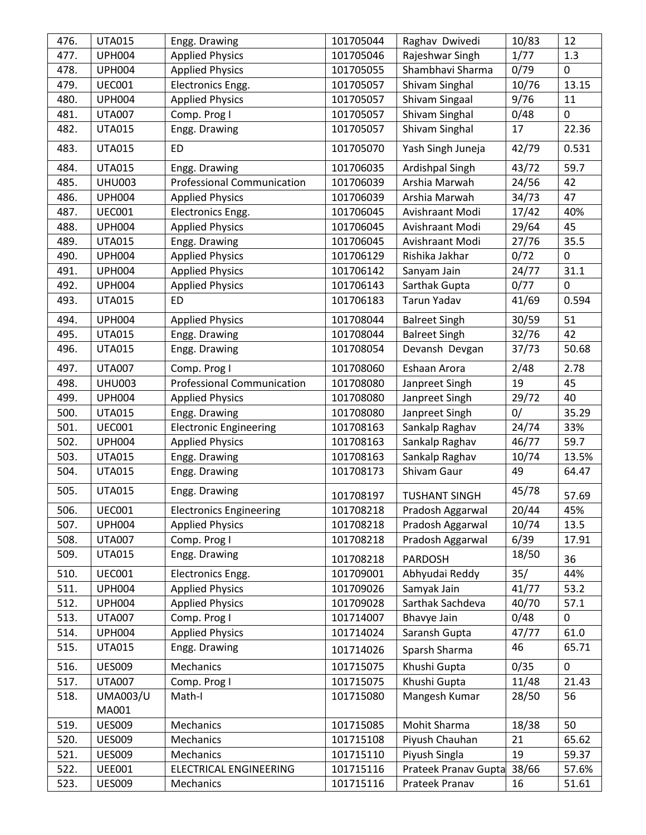| 476. | <b>UTA015</b>   | Engg. Drawing                     | 101705044 | Raghav Dwivedi       | 10/83 | 12          |
|------|-----------------|-----------------------------------|-----------|----------------------|-------|-------------|
| 477. | <b>UPH004</b>   | <b>Applied Physics</b>            | 101705046 | Rajeshwar Singh      | 1/77  | 1.3         |
| 478. | <b>UPH004</b>   | <b>Applied Physics</b>            | 101705055 | Shambhavi Sharma     | 0/79  | $\mathbf 0$ |
| 479. | <b>UEC001</b>   | Electronics Engg.                 | 101705057 | Shivam Singhal       | 10/76 | 13.15       |
| 480. | <b>UPH004</b>   | <b>Applied Physics</b>            | 101705057 | Shivam Singaal       | 9/76  | 11          |
| 481. | <b>UTA007</b>   | Comp. Prog I                      | 101705057 | Shivam Singhal       | 0/48  | $\mathbf 0$ |
| 482. | <b>UTA015</b>   | Engg. Drawing                     | 101705057 | Shivam Singhal       | 17    | 22.36       |
| 483. | <b>UTA015</b>   | ED                                | 101705070 | Yash Singh Juneja    | 42/79 | 0.531       |
|      |                 |                                   |           |                      |       |             |
| 484. | <b>UTA015</b>   | Engg. Drawing                     | 101706035 | Ardishpal Singh      | 43/72 | 59.7        |
| 485. | <b>UHU003</b>   | <b>Professional Communication</b> | 101706039 | Arshia Marwah        | 24/56 | 42          |
| 486. | <b>UPH004</b>   | <b>Applied Physics</b>            | 101706039 | Arshia Marwah        | 34/73 | 47          |
| 487. | <b>UEC001</b>   | Electronics Engg.                 | 101706045 | Avishraant Modi      | 17/42 | 40%         |
| 488. | <b>UPH004</b>   | <b>Applied Physics</b>            | 101706045 | Avishraant Modi      | 29/64 | 45          |
| 489. | <b>UTA015</b>   | Engg. Drawing                     | 101706045 | Avishraant Modi      | 27/76 | 35.5        |
| 490. | <b>UPH004</b>   | <b>Applied Physics</b>            | 101706129 | Rishika Jakhar       | 0/72  | $\mathbf 0$ |
| 491. | <b>UPH004</b>   | <b>Applied Physics</b>            | 101706142 | Sanyam Jain          | 24/77 | 31.1        |
| 492. | <b>UPH004</b>   | <b>Applied Physics</b>            | 101706143 | Sarthak Gupta        | 0/77  | $\mathbf 0$ |
| 493. | <b>UTA015</b>   | <b>ED</b>                         | 101706183 | Tarun Yadav          | 41/69 | 0.594       |
| 494. | <b>UPH004</b>   | <b>Applied Physics</b>            | 101708044 | <b>Balreet Singh</b> | 30/59 | 51          |
| 495. | <b>UTA015</b>   | Engg. Drawing                     | 101708044 | <b>Balreet Singh</b> | 32/76 | 42          |
| 496. | <b>UTA015</b>   | Engg. Drawing                     | 101708054 | Devansh Devgan       | 37/73 | 50.68       |
| 497. | <b>UTA007</b>   | Comp. Prog I                      | 101708060 | Eshaan Arora         | 2/48  | 2.78        |
| 498. | <b>UHU003</b>   | <b>Professional Communication</b> | 101708080 | Janpreet Singh       | 19    | 45          |
| 499. | <b>UPH004</b>   | <b>Applied Physics</b>            | 101708080 | Janpreet Singh       | 29/72 | 40          |
| 500. | <b>UTA015</b>   | Engg. Drawing                     | 101708080 | Janpreet Singh       | 0/    | 35.29       |
| 501. | <b>UEC001</b>   | <b>Electronic Engineering</b>     | 101708163 | Sankalp Raghav       | 24/74 | 33%         |
| 502. | <b>UPH004</b>   | <b>Applied Physics</b>            | 101708163 | Sankalp Raghav       | 46/77 | 59.7        |
| 503. | <b>UTA015</b>   | Engg. Drawing                     | 101708163 | Sankalp Raghav       | 10/74 | 13.5%       |
| 504. | <b>UTA015</b>   | Engg. Drawing                     | 101708173 | Shivam Gaur          | 49    | 64.47       |
| 505. | <b>UTA015</b>   | Engg. Drawing                     | 101708197 | <b>TUSHANT SINGH</b> | 45/78 | 57.69       |
| 506. | <b>UEC001</b>   | <b>Electronics Engineering</b>    | 101708218 | Pradosh Aggarwal     | 20/44 | 45%         |
| 507. | <b>UPH004</b>   | <b>Applied Physics</b>            | 101708218 | Pradosh Aggarwal     | 10/74 | 13.5        |
| 508. | <b>UTA007</b>   | Comp. Prog I                      | 101708218 | Pradosh Aggarwal     | 6/39  | 17.91       |
| 509. | <b>UTA015</b>   | Engg. Drawing                     |           |                      | 18/50 |             |
|      |                 |                                   | 101708218 | PARDOSH              |       | 36          |
| 510. | <b>UEC001</b>   | Electronics Engg.                 | 101709001 | Abhyudai Reddy       | 35/   | 44%         |
| 511. | <b>UPH004</b>   | <b>Applied Physics</b>            | 101709026 | Samyak Jain          | 41/77 | 53.2        |
| 512. | <b>UPH004</b>   | <b>Applied Physics</b>            | 101709028 | Sarthak Sachdeva     | 40/70 | 57.1        |
| 513. | <b>UTA007</b>   | Comp. Prog I                      | 101714007 | Bhavye Jain          | 0/48  | $\mathbf 0$ |
| 514. | <b>UPH004</b>   | <b>Applied Physics</b>            | 101714024 | Saransh Gupta        | 47/77 | 61.0        |
| 515. | <b>UTA015</b>   | Engg. Drawing                     | 101714026 | Sparsh Sharma        | 46    | 65.71       |
| 516. | <b>UES009</b>   | Mechanics                         | 101715075 | Khushi Gupta         | 0/35  | 0           |
| 517. | <b>UTA007</b>   | Comp. Prog I                      | 101715075 | Khushi Gupta         | 11/48 | 21.43       |
| 518. | <b>UMA003/U</b> | Math-I                            | 101715080 | Mangesh Kumar        | 28/50 | 56          |
|      | MA001           |                                   |           |                      |       |             |
| 519. | <b>UES009</b>   | Mechanics                         | 101715085 | Mohit Sharma         | 18/38 | 50          |
| 520. | <b>UES009</b>   | Mechanics                         | 101715108 | Piyush Chauhan       | 21    | 65.62       |
| 521. | <b>UES009</b>   | Mechanics                         | 101715110 | Piyush Singla        | 19    | 59.37       |
| 522. | <b>UEE001</b>   | <b>ELECTRICAL ENGINEERING</b>     | 101715116 | Prateek Pranav Gupta | 38/66 | 57.6%       |
| 523. | <b>UES009</b>   | Mechanics                         | 101715116 | Prateek Pranav       | 16    | 51.61       |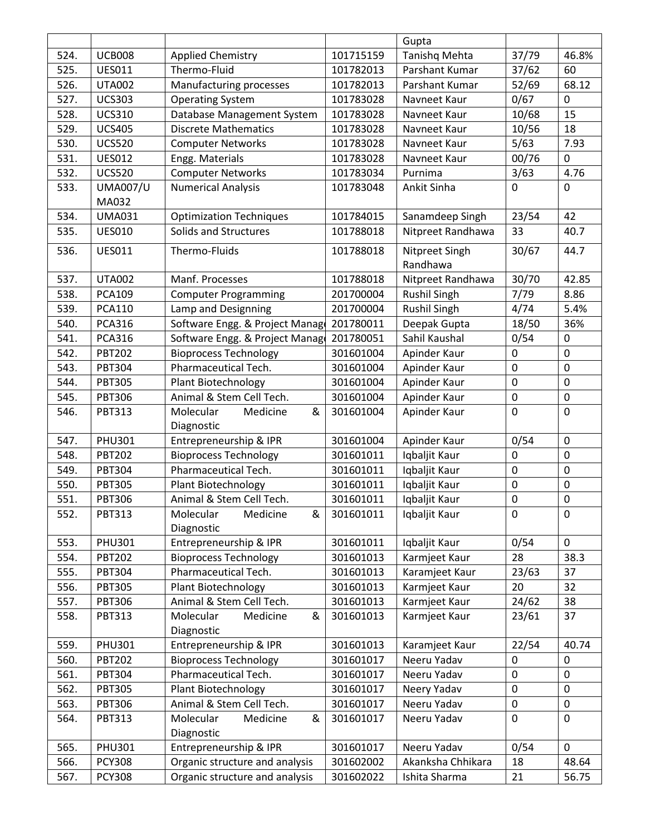|              |                 |                                                 |           | Gupta               |                |                  |
|--------------|-----------------|-------------------------------------------------|-----------|---------------------|----------------|------------------|
| 524.         | <b>UCB008</b>   | <b>Applied Chemistry</b>                        | 101715159 | Tanishq Mehta       | 37/79          | 46.8%            |
| 525.         | <b>UES011</b>   | Thermo-Fluid                                    | 101782013 | Parshant Kumar      | 37/62          | 60               |
| 526.         | <b>UTA002</b>   | Manufacturing processes                         | 101782013 | Parshant Kumar      | 52/69          | 68.12            |
| 527.         | <b>UCS303</b>   | <b>Operating System</b>                         | 101783028 | Navneet Kaur        | 0/67           | 0                |
| 528.         | <b>UCS310</b>   | Database Management System                      | 101783028 | Navneet Kaur        | 10/68          | 15               |
| 529.         | <b>UCS405</b>   | <b>Discrete Mathematics</b>                     | 101783028 | Navneet Kaur        | 10/56          | 18               |
| 530.         | <b>UCS520</b>   | <b>Computer Networks</b>                        | 101783028 | Navneet Kaur        | 5/63           | 7.93             |
| 531.         | <b>UES012</b>   | Engg. Materials                                 | 101783028 | Navneet Kaur        | 00/76          | 0                |
| 532.         | <b>UCS520</b>   | <b>Computer Networks</b>                        | 101783034 | Purnima             | 3/63           | 4.76             |
| 533.         | <b>UMA007/U</b> | <b>Numerical Analysis</b>                       | 101783048 | Ankit Sinha         | $\overline{0}$ | $\mathbf 0$      |
|              | MA032           |                                                 |           |                     |                |                  |
| 534.         | <b>UMA031</b>   | <b>Optimization Techniques</b>                  | 101784015 | Sanamdeep Singh     | 23/54          | 42               |
| 535.         | <b>UES010</b>   | Solids and Structures                           | 101788018 | Nitpreet Randhawa   | 33             | 40.7             |
| 536.         | <b>UES011</b>   | Thermo-Fluids                                   | 101788018 | Nitpreet Singh      | 30/67          | 44.7             |
|              |                 |                                                 |           | Randhawa            |                |                  |
| 537.         | <b>UTA002</b>   | Manf. Processes                                 | 101788018 | Nitpreet Randhawa   | 30/70          | 42.85            |
| 538.         | <b>PCA109</b>   | <b>Computer Programming</b>                     | 201700004 | <b>Rushil Singh</b> | 7/79           | 8.86             |
| 539.         | <b>PCA110</b>   | Lamp and Designning                             | 201700004 | <b>Rushil Singh</b> | 4/74           | 5.4%             |
| 540.         | <b>PCA316</b>   | Software Engg. & Project Manage                 | 201780011 | Deepak Gupta        | 18/50          | 36%              |
| 541.         | <b>PCA316</b>   | Software Engg. & Project Manago                 | 201780051 | Sahil Kaushal       | 0/54           | 0                |
| 542.         | <b>PBT202</b>   | <b>Bioprocess Technology</b>                    | 301601004 | Apinder Kaur        | $\mathbf 0$    | $\mathbf 0$      |
| 543.         | PBT304          | Pharmaceutical Tech.                            | 301601004 | Apinder Kaur        | $\mathbf 0$    | $\pmb{0}$        |
|              | <b>PBT305</b>   |                                                 | 301601004 | Apinder Kaur        | $\mathbf 0$    | $\pmb{0}$        |
| 544.<br>545. | <b>PBT306</b>   | Plant Biotechnology<br>Animal & Stem Cell Tech. | 301601004 |                     | $\pmb{0}$      | $\pmb{0}$        |
|              |                 |                                                 |           | Apinder Kaur        | $\mathbf 0$    | $\mathbf 0$      |
| 546.         | <b>PBT313</b>   | Molecular<br>&<br>Medicine<br>Diagnostic        | 301601004 | Apinder Kaur        |                |                  |
| 547.         | <b>PHU301</b>   | Entrepreneurship & IPR                          | 301601004 | Apinder Kaur        | 0/54           | $\mathbf 0$      |
| 548.         | <b>PBT202</b>   | <b>Bioprocess Technology</b>                    | 301601011 | Iqbaljit Kaur       | $\mathbf 0$    | $\mathbf 0$      |
| 549.         | <b>PBT304</b>   | Pharmaceutical Tech.                            | 301601011 | Iqbaljit Kaur       | $\mathbf 0$    | $\boldsymbol{0}$ |
| 550.         | <b>PBT305</b>   | Plant Biotechnology                             | 301601011 | Iqbaljit Kaur       | 0              | $\mathbf 0$      |
| 551.         | <b>PBT306</b>   | Animal & Stem Cell Tech.                        | 301601011 | Iqbaljit Kaur       | $\pmb{0}$      | $\mathbf 0$      |
| 552.         | <b>PBT313</b>   | Molecular<br>Medicine<br>&                      | 301601011 | Iqbaljit Kaur       | $\mathbf 0$    | $\mathbf 0$      |
|              |                 | Diagnostic                                      |           |                     |                |                  |
| 553.         | <b>PHU301</b>   | Entrepreneurship & IPR                          | 301601011 | Iqbaljit Kaur       | 0/54           | $\mathbf{0}$     |
| 554.         | <b>PBT202</b>   | <b>Bioprocess Technology</b>                    | 301601013 | Karmjeet Kaur       | 28             | 38.3             |
| 555.         | <b>PBT304</b>   | Pharmaceutical Tech.                            | 301601013 | Karamjeet Kaur      | 23/63          | 37               |
| 556.         | <b>PBT305</b>   | Plant Biotechnology                             | 301601013 | Karmjeet Kaur       | 20             | 32               |
| 557.         | <b>PBT306</b>   | Animal & Stem Cell Tech.                        | 301601013 | Karmjeet Kaur       | 24/62          | 38               |
| 558.         | <b>PBT313</b>   | Molecular<br>Medicine<br>&                      | 301601013 | Karmjeet Kaur       | 23/61          | 37               |
|              |                 | Diagnostic                                      |           |                     |                |                  |
| 559.         | <b>PHU301</b>   | Entrepreneurship & IPR                          | 301601013 | Karamjeet Kaur      | 22/54          | 40.74            |
| 560.         | <b>PBT202</b>   | <b>Bioprocess Technology</b>                    | 301601017 | Neeru Yadav         | 0              | 0                |
| 561.         | <b>PBT304</b>   | Pharmaceutical Tech.                            | 301601017 | Neeru Yadav         | 0              | 0                |
| 562.         | <b>PBT305</b>   | Plant Biotechnology                             | 301601017 | Neery Yadav         | $\mathbf 0$    | $\mathbf 0$      |
| 563.         | <b>PBT306</b>   | Animal & Stem Cell Tech.                        | 301601017 | Neeru Yadav         | 0              | $\pmb{0}$        |
| 564.         | <b>PBT313</b>   | Molecular<br>Medicine<br>&                      | 301601017 | Neeru Yadav         | $\mathbf 0$    | $\mathbf 0$      |
|              |                 | Diagnostic                                      |           |                     |                |                  |
| 565.         | <b>PHU301</b>   | Entrepreneurship & IPR                          | 301601017 | Neeru Yadav         | 0/54           | $\mathbf 0$      |
| 566.         | <b>PCY308</b>   | Organic structure and analysis                  | 301602002 | Akanksha Chhikara   | 18             | 48.64            |
| 567.         | <b>PCY308</b>   | Organic structure and analysis                  | 301602022 | Ishita Sharma       | 21             | 56.75            |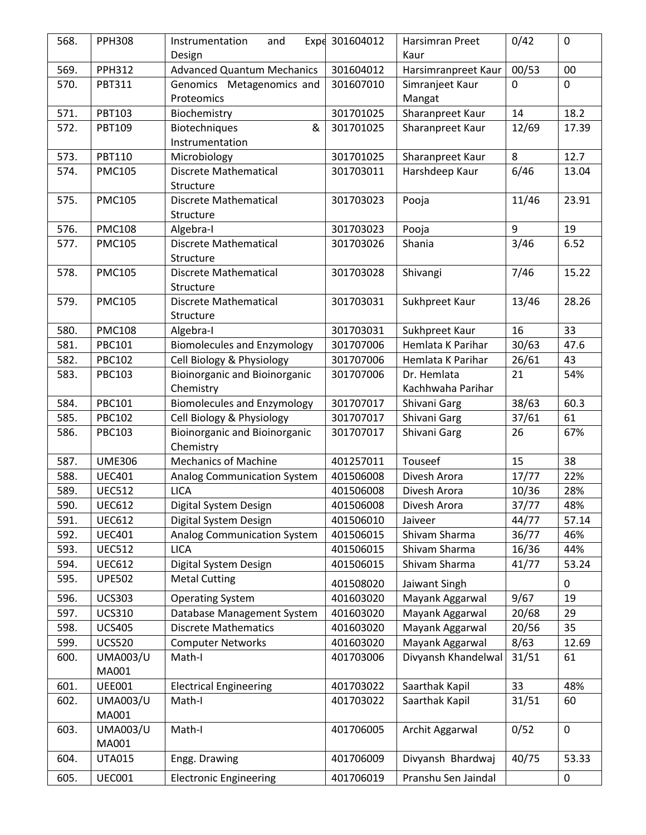| 568. | <b>PPH308</b>   | Instrumentation<br>and                  | Expe 301604012 | Harsimran Preet           | 0/42           | $\mathbf 0$  |
|------|-----------------|-----------------------------------------|----------------|---------------------------|----------------|--------------|
|      |                 | Design                                  |                | Kaur                      |                |              |
| 569. | <b>PPH312</b>   | <b>Advanced Quantum Mechanics</b>       | 301604012      | Harsimranpreet Kaur       | 00/53          | 00           |
| 570. | <b>PBT311</b>   | Genomics Metagenomics and<br>Proteomics | 301607010      | Simranjeet Kaur<br>Mangat | $\mathbf 0$    | $\mathbf{0}$ |
| 571. | PBT103          | Biochemistry                            | 301701025      | Sharanpreet Kaur          | 14             | 18.2         |
| 572. | PBT109          | &<br>Biotechniques                      | 301701025      | Sharanpreet Kaur          | 12/69          | 17.39        |
|      |                 | Instrumentation                         |                |                           |                |              |
| 573. | <b>PBT110</b>   | Microbiology                            | 301701025      | Sharanpreet Kaur          | 8              | 12.7         |
| 574. | <b>PMC105</b>   | <b>Discrete Mathematical</b>            | 301703011      | Harshdeep Kaur            | 6/46           | 13.04        |
|      |                 | Structure                               |                |                           |                |              |
| 575. | <b>PMC105</b>   | <b>Discrete Mathematical</b>            | 301703023      | Pooja                     | 11/46          | 23.91        |
|      |                 | Structure                               |                |                           |                |              |
| 576. | <b>PMC108</b>   | Algebra-I                               | 301703023      | Pooja                     | $\overline{9}$ | 19           |
| 577. | <b>PMC105</b>   | <b>Discrete Mathematical</b>            | 301703026      | Shania                    | 3/46           | 6.52         |
|      |                 | Structure                               |                |                           |                |              |
| 578. | <b>PMC105</b>   | <b>Discrete Mathematical</b>            | 301703028      | Shivangi                  | 7/46           | 15.22        |
|      |                 | Structure                               |                |                           |                |              |
| 579. | <b>PMC105</b>   | <b>Discrete Mathematical</b>            | 301703031      | Sukhpreet Kaur            | 13/46          | 28.26        |
|      |                 | Structure                               |                |                           |                |              |
| 580. | <b>PMC108</b>   | Algebra-I                               | 301703031      | Sukhpreet Kaur            | 16             | 33           |
| 581. | <b>PBC101</b>   | <b>Biomolecules and Enzymology</b>      | 301707006      | Hemlata K Parihar         | 30/63          | 47.6         |
| 582. | <b>PBC102</b>   | Cell Biology & Physiology               | 301707006      | Hemlata K Parihar         | 26/61          | 43           |
| 583. | <b>PBC103</b>   | <b>Bioinorganic and Bioinorganic</b>    | 301707006      | Dr. Hemlata               | 21             | 54%          |
|      |                 | Chemistry                               |                | Kachhwaha Parihar         |                |              |
| 584. | <b>PBC101</b>   | <b>Biomolecules and Enzymology</b>      | 301707017      | Shivani Garg              | 38/63          | 60.3         |
| 585. | <b>PBC102</b>   | Cell Biology & Physiology               | 301707017      | Shivani Garg              | 37/61          | 61           |
| 586. | <b>PBC103</b>   | <b>Bioinorganic and Bioinorganic</b>    | 301707017      | Shivani Garg              | 26             | 67%          |
|      |                 | Chemistry                               |                |                           |                |              |
| 587. | <b>UME306</b>   | <b>Mechanics of Machine</b>             | 401257011      | Touseef                   | 15             | 38           |
| 588. | <b>UEC401</b>   | <b>Analog Communication System</b>      | 401506008      | Divesh Arora              | 17/77          | 22%          |
| 589. | <b>UEC512</b>   | <b>LICA</b>                             | 401506008      | Divesh Arora              | 10/36          | 28%          |
| 590. | <b>UEC612</b>   | Digital System Design                   | 401506008      | Divesh Arora              | 37/77          | 48%          |
| 591. | <b>UEC612</b>   | Digital System Design                   | 401506010      | Jaiveer                   | 44/77          | 57.14        |
| 592. | <b>UEC401</b>   | Analog Communication System             | 401506015      | Shivam Sharma             | 36/77          | 46%          |
| 593. | <b>UEC512</b>   | <b>LICA</b>                             | 401506015      | Shivam Sharma             | 16/36          | 44%          |
| 594. | <b>UEC612</b>   | Digital System Design                   | 401506015      | Shivam Sharma             | 41/77          | 53.24        |
| 595. | <b>UPE502</b>   | <b>Metal Cutting</b>                    | 401508020      | Jaiwant Singh             |                | 0            |
| 596. | <b>UCS303</b>   | <b>Operating System</b>                 | 401603020      | Mayank Aggarwal           | 9/67           | 19           |
| 597. | <b>UCS310</b>   | Database Management System              | 401603020      | Mayank Aggarwal           | 20/68          | 29           |
| 598. | <b>UCS405</b>   | <b>Discrete Mathematics</b>             | 401603020      | Mayank Aggarwal           | 20/56          | 35           |
| 599. | <b>UCS520</b>   | <b>Computer Networks</b>                | 401603020      | Mayank Aggarwal           | 8/63           | 12.69        |
| 600. | <b>UMA003/U</b> | Math-I                                  | 401703006      | Divyansh Khandelwal       | 31/51          | 61           |
|      | MA001           |                                         |                |                           |                |              |
| 601. | <b>UEE001</b>   | <b>Electrical Engineering</b>           | 401703022      | Saarthak Kapil            | 33             | 48%          |
| 602. | <b>UMA003/U</b> | Math-I                                  | 401703022      | Saarthak Kapil            | 31/51          | 60           |
|      | MA001           |                                         |                |                           |                |              |
| 603. | <b>UMA003/U</b> | Math-I                                  | 401706005      | Archit Aggarwal           | 0/52           | $\mathbf 0$  |
|      | MA001           |                                         |                |                           |                |              |
| 604. | <b>UTA015</b>   | Engg. Drawing                           | 401706009      | Divyansh Bhardwaj         | 40/75          | 53.33        |
| 605. | <b>UEC001</b>   | <b>Electronic Engineering</b>           | 401706019      | Pranshu Sen Jaindal       |                | $\pmb{0}$    |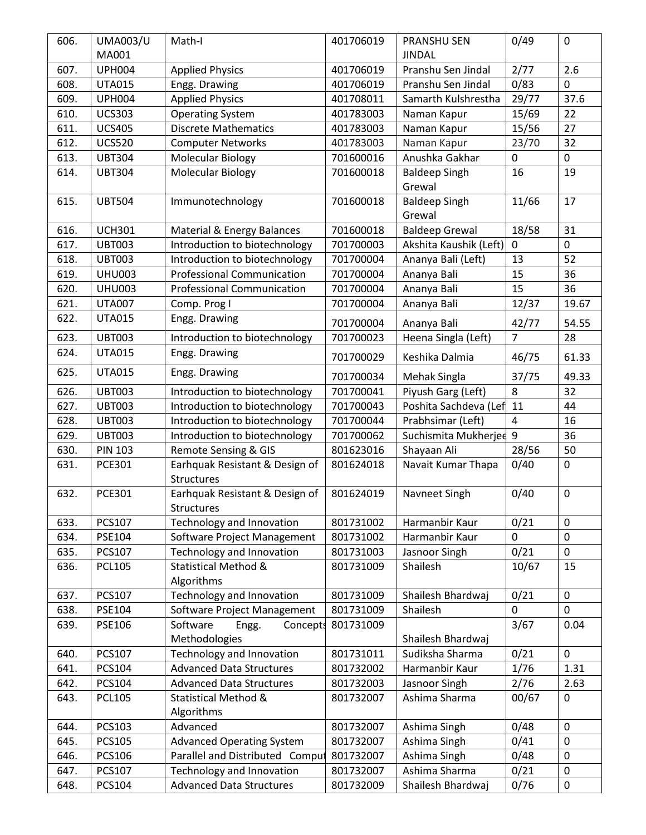| 606. | <b>UMA003/U</b> | Math-I                                       | 401706019 | <b>PRANSHU SEN</b>     | 0/49                    | $\mathbf 0$ |
|------|-----------------|----------------------------------------------|-----------|------------------------|-------------------------|-------------|
|      | MA001           |                                              |           | <b>JINDAL</b>          |                         |             |
| 607. | <b>UPH004</b>   | <b>Applied Physics</b>                       | 401706019 | Pranshu Sen Jindal     | 2/77                    | 2.6         |
| 608. | <b>UTA015</b>   | Engg. Drawing                                | 401706019 | Pranshu Sen Jindal     | 0/83                    | $\mathbf 0$ |
| 609. | <b>UPH004</b>   | <b>Applied Physics</b>                       | 401708011 | Samarth Kulshrestha    | 29/77                   | 37.6        |
| 610. | <b>UCS303</b>   | <b>Operating System</b>                      | 401783003 | Naman Kapur            | 15/69                   | 22          |
| 611. | <b>UCS405</b>   | <b>Discrete Mathematics</b>                  | 401783003 | Naman Kapur            | 15/56                   | 27          |
| 612. | <b>UCS520</b>   | <b>Computer Networks</b>                     | 401783003 | Naman Kapur            | 23/70                   | 32          |
| 613. | <b>UBT304</b>   | <b>Molecular Biology</b>                     | 701600016 | Anushka Gakhar         | $\mathbf 0$             | $\mathbf 0$ |
| 614. | <b>UBT304</b>   | <b>Molecular Biology</b>                     | 701600018 | <b>Baldeep Singh</b>   | 16                      | 19          |
|      |                 |                                              |           | Grewal                 |                         |             |
| 615. | <b>UBT504</b>   | Immunotechnology                             | 701600018 | <b>Baldeep Singh</b>   | 11/66                   | 17          |
|      |                 |                                              |           | Grewal                 |                         |             |
| 616. | <b>UCH301</b>   | Material & Energy Balances                   | 701600018 | <b>Baldeep Grewal</b>  | 18/58                   | 31          |
| 617. | <b>UBT003</b>   | Introduction to biotechnology                | 701700003 | Akshita Kaushik (Left) | $\mathbf 0$             | $\mathbf 0$ |
| 618. | <b>UBT003</b>   | Introduction to biotechnology                | 701700004 | Ananya Bali (Left)     | 13                      | 52          |
| 619. | <b>UHU003</b>   | <b>Professional Communication</b>            | 701700004 | Ananya Bali            | 15                      | 36          |
| 620. | <b>UHU003</b>   | <b>Professional Communication</b>            | 701700004 | Ananya Bali            | 15                      | 36          |
| 621. | <b>UTA007</b>   | Comp. Prog I                                 | 701700004 | Ananya Bali            | 12/37                   | 19.67       |
| 622. | <b>UTA015</b>   | Engg. Drawing                                |           |                        |                         |             |
|      |                 |                                              | 701700004 | Ananya Bali            | 42/77<br>$\overline{7}$ | 54.55       |
| 623. | <b>UBT003</b>   | Introduction to biotechnology                | 701700023 | Heena Singla (Left)    |                         | 28          |
| 624. | <b>UTA015</b>   | Engg. Drawing                                | 701700029 | Keshika Dalmia         | 46/75                   | 61.33       |
| 625. | <b>UTA015</b>   | Engg. Drawing                                | 701700034 | Mehak Singla           | 37/75                   | 49.33       |
| 626. | <b>UBT003</b>   | Introduction to biotechnology                | 701700041 | Piyush Garg (Left)     | 8                       | 32          |
| 627. | <b>UBT003</b>   | Introduction to biotechnology                | 701700043 | Poshita Sachdeva (Lef  | 11                      | 44          |
| 628. | <b>UBT003</b>   | Introduction to biotechnology                | 701700044 | Prabhsimar (Left)      | 4                       | 16          |
| 629. | <b>UBT003</b>   | Introduction to biotechnology                | 701700062 | Suchismita Mukherjee   | 9                       | 36          |
| 630. | <b>PIN 103</b>  | Remote Sensing & GIS                         | 801623016 | Shayaan Ali            | 28/56                   | 50          |
| 631. | <b>PCE301</b>   | Earhquak Resistant & Design of<br>Structures | 801624018 | Navait Kumar Thapa     | 0/40                    | $\mathbf 0$ |
| 632. | <b>PCE301</b>   | Earhquak Resistant & Design of               | 801624019 | Navneet Singh          | 0/40                    | $\pmb{0}$   |
|      |                 | Structures                                   |           |                        |                         |             |
| 633. | <b>PCS107</b>   | Technology and Innovation                    | 801731002 | Harmanbir Kaur         | 0/21                    | $\mathbf 0$ |
| 634. | <b>PSE104</b>   | Software Project Management                  | 801731002 | Harmanbir Kaur         | $\mathbf 0$             | $\pmb{0}$   |
| 635. | <b>PCS107</b>   | Technology and Innovation                    | 801731003 | Jasnoor Singh          | 0/21                    | $\mathbf 0$ |
| 636. | <b>PCL105</b>   | Statistical Method &                         | 801731009 | Shailesh               | 10/67                   | 15          |
|      |                 | Algorithms                                   |           |                        |                         |             |
| 637. | PCS107          | Technology and Innovation                    | 801731009 | Shailesh Bhardwaj      | 0/21                    | $\pmb{0}$   |
| 638. | PSE104          | Software Project Management                  | 801731009 | Shailesh               | 0                       | $\mathbf 0$ |
| 639. | <b>PSE106</b>   | Software<br>Engg.<br>Concepts                | 801731009 |                        | 3/67                    | 0.04        |
|      |                 | Methodologies                                |           | Shailesh Bhardwaj      |                         |             |
| 640. | PCS107          | Technology and Innovation                    | 801731011 | Sudiksha Sharma        | 0/21                    | $\mathbf 0$ |
| 641. | PCS104          | <b>Advanced Data Structures</b>              | 801732002 | Harmanbir Kaur         | 1/76                    | 1.31        |
| 642. | PCS104          | <b>Advanced Data Structures</b>              | 801732003 | Jasnoor Singh          | 2/76                    | 2.63        |
| 643. | <b>PCL105</b>   | <b>Statistical Method &amp;</b>              | 801732007 | Ashima Sharma          | 00/67                   | $\mathbf 0$ |
|      |                 | Algorithms                                   |           |                        |                         |             |
| 644. | PCS103          | Advanced                                     | 801732007 | Ashima Singh           | 0/48                    | $\mathbf 0$ |
| 645. | <b>PCS105</b>   | <b>Advanced Operating System</b>             | 801732007 | Ashima Singh           | 0/41                    | $\pmb{0}$   |
| 646. | PCS106          | Parallel and Distributed Comput              | 801732007 | Ashima Singh           | 0/48                    | $\mathbf 0$ |
| 647. | PCS107          | Technology and Innovation                    | 801732007 | Ashima Sharma          | 0/21                    | $\mathbf 0$ |
| 648. | PCS104          | <b>Advanced Data Structures</b>              | 801732009 | Shailesh Bhardwaj      | 0/76                    | $\pmb{0}$   |